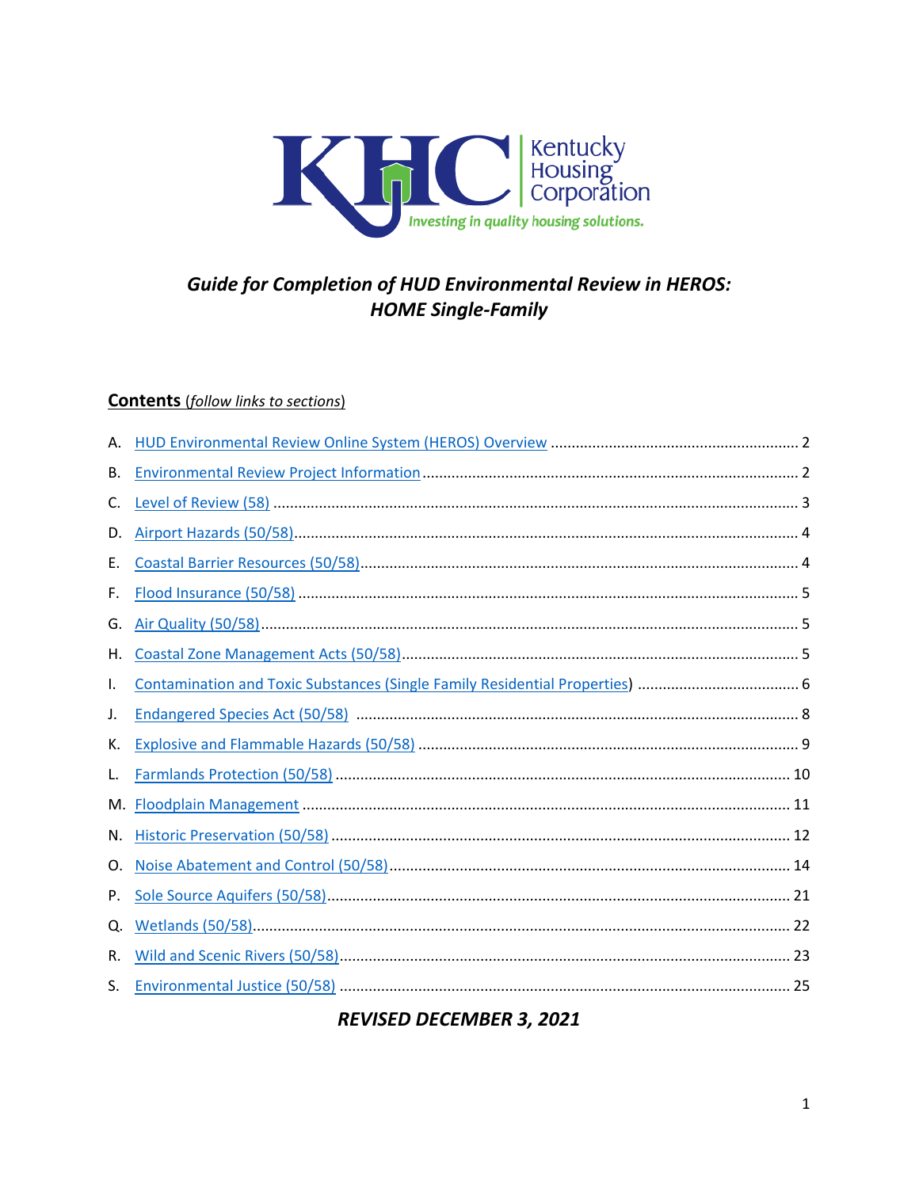

# **Guide for Completion of HUD Environmental Review in HEROS: HOME Single-Family**

#### **Contents** (follow links to sections)

| В. |  |
|----|--|
| C. |  |
| D. |  |
| Е. |  |
| F. |  |
| G. |  |
| Н. |  |
| I. |  |
| J. |  |
| К. |  |
| L. |  |
| М. |  |
| N. |  |
| O. |  |
| Ρ. |  |
| Q. |  |
| R. |  |
| S. |  |

# **REVISED DECEMBER 3, 2021**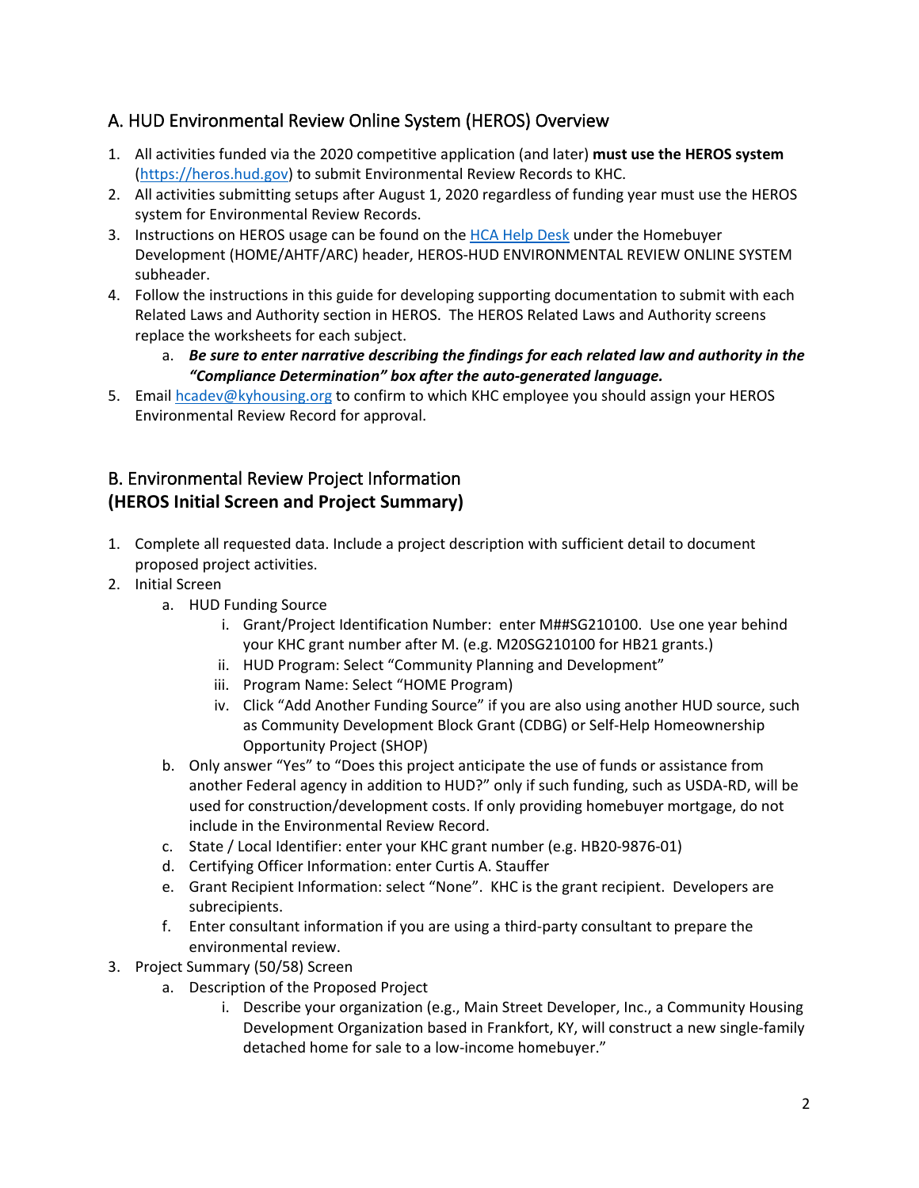# <span id="page-1-0"></span>A. HUD Environmental Review Online System (HEROS) Overview

- 1. All activities funded via the 2020 competitive application (and later) **must use the HEROS system** [\(https://heros.hud.gov\)](https://heros.hud.gov/) to submit Environmental Review Records to KHC.
- 2. All activities submitting setups after August 1, 2020 regardless of funding year must use the HEROS system for Environmental Review Records.
- 3. Instructions on HEROS usage can be found on the [HCA Help Desk](https://kyhmis.zendesk.com/) under the Homebuyer Development (HOME/AHTF/ARC) header, HEROS-HUD ENVIRONMENTAL REVIEW ONLINE SYSTEM subheader.
- 4. Follow the instructions in this guide for developing supporting documentation to submit with each Related Laws and Authority section in HEROS. The HEROS Related Laws and Authority screens replace the worksheets for each subject.
	- a. *Be sure to enter narrative describing the findings for each related law and authority in the "Compliance Determination" box after the auto-generated language.*
- 5. Email [hcadev@kyhousing.org](mailto:hcadev@kyhousing.org) to confirm to which KHC employee you should assign your HEROS Environmental Review Record for approval.

## <span id="page-1-1"></span>B. Environmental Review Project Information **(HEROS Initial Screen and Project Summary)**

- 1. Complete all requested data. Include a project description with sufficient detail to document proposed project activities.
- 2. Initial Screen
	- a. HUD Funding Source
		- i. Grant/Project Identification Number: enter M##SG210100. Use one year behind your KHC grant number after M. (e.g. M20SG210100 for HB21 grants.)
		- ii. HUD Program: Select "Community Planning and Development"
		- iii. Program Name: Select "HOME Program)
		- iv. Click "Add Another Funding Source" if you are also using another HUD source, such as Community Development Block Grant (CDBG) or Self-Help Homeownership Opportunity Project (SHOP)
	- b. Only answer "Yes" to "Does this project anticipate the use of funds or assistance from another Federal agency in addition to HUD?" only if such funding, such as USDA-RD, will be used for construction/development costs. If only providing homebuyer mortgage, do not include in the Environmental Review Record.
	- c. State / Local Identifier: enter your KHC grant number (e.g. HB20-9876-01)
	- d. Certifying Officer Information: enter Curtis A. Stauffer
	- e. Grant Recipient Information: select "None". KHC is the grant recipient. Developers are subrecipients.
	- f. Enter consultant information if you are using a third-party consultant to prepare the environmental review.
- 3. Project Summary (50/58) Screen
	- a. Description of the Proposed Project
		- i. Describe your organization (e.g., Main Street Developer, Inc., a Community Housing Development Organization based in Frankfort, KY, will construct a new single-family detached home for sale to a low-income homebuyer."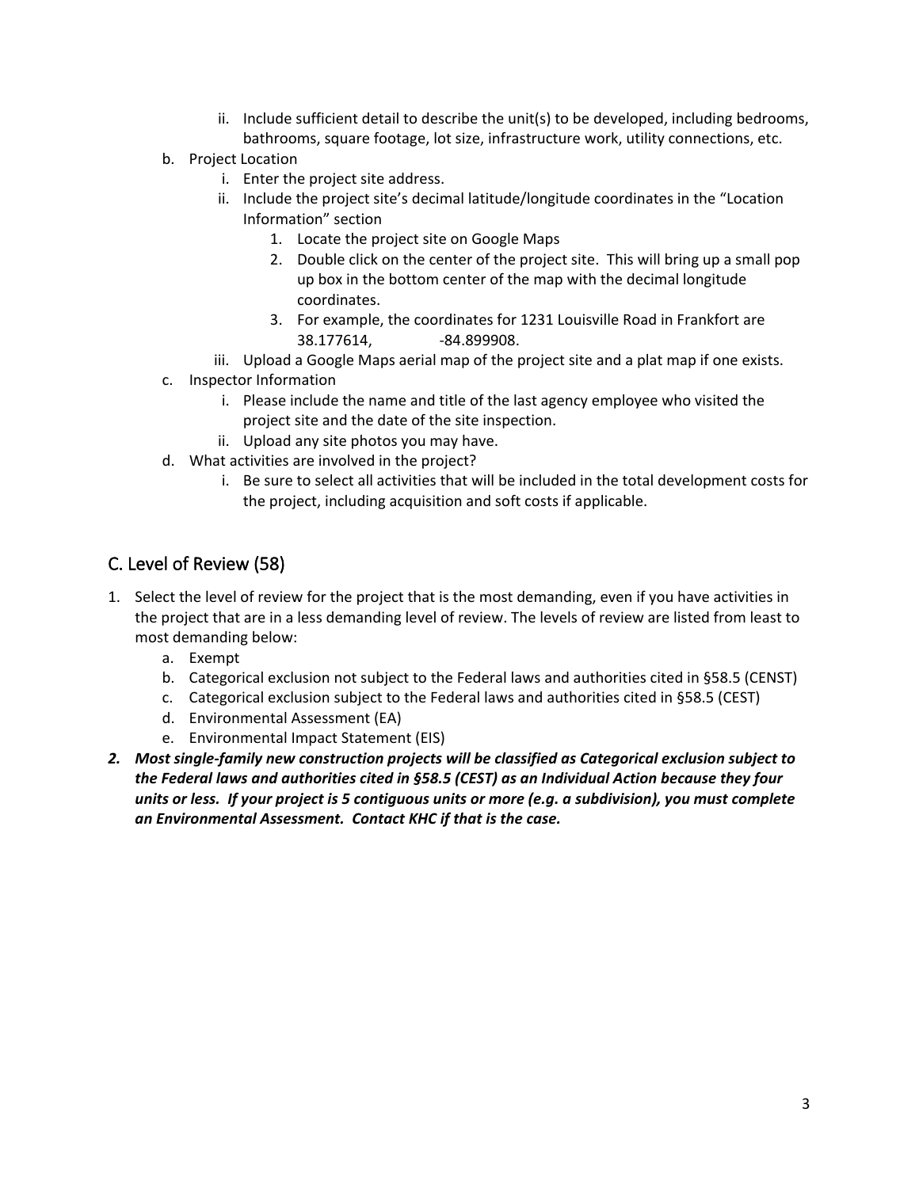- ii. Include sufficient detail to describe the unit(s) to be developed, including bedrooms, bathrooms, square footage, lot size, infrastructure work, utility connections, etc.
- b. Project Location
	- i. Enter the project site address.
	- ii. Include the project site's decimal latitude/longitude coordinates in the "Location Information" section
		- 1. Locate the project site on Google Maps
		- 2. Double click on the center of the project site. This will bring up a small pop up box in the bottom center of the map with the decimal longitude coordinates.
		- 3. For example, the coordinates for 1231 Louisville Road in Frankfort are 38.177614, -84.899908.
	- iii. Upload a Google Maps aerial map of the project site and a plat map if one exists.
- c. Inspector Information
	- i. Please include the name and title of the last agency employee who visited the project site and the date of the site inspection.
	- ii. Upload any site photos you may have.
- d. What activities are involved in the project?
	- i. Be sure to select all activities that will be included in the total development costs for the project, including acquisition and soft costs if applicable.

# <span id="page-2-0"></span>C. Level of Review (58)

- 1. Select the level of review for the project that is the most demanding, even if you have activities in the project that are in a less demanding level of review. The levels of review are listed from least to most demanding below:
	- a. Exempt
	- b. Categorical exclusion not subject to the Federal laws and authorities cited in §58.5 (CENST)
	- c. Categorical exclusion subject to the Federal laws and authorities cited in §58.5 (CEST)
	- d. Environmental Assessment (EA)
	- e. Environmental Impact Statement (EIS)
- *2. Most single-family new construction projects will be classified as Categorical exclusion subject to the Federal laws and authorities cited in §58.5 (CEST) as an Individual Action because they four units or less. If your project is 5 contiguous units or more (e.g. a subdivision), you must complete an Environmental Assessment. Contact KHC if that is the case.*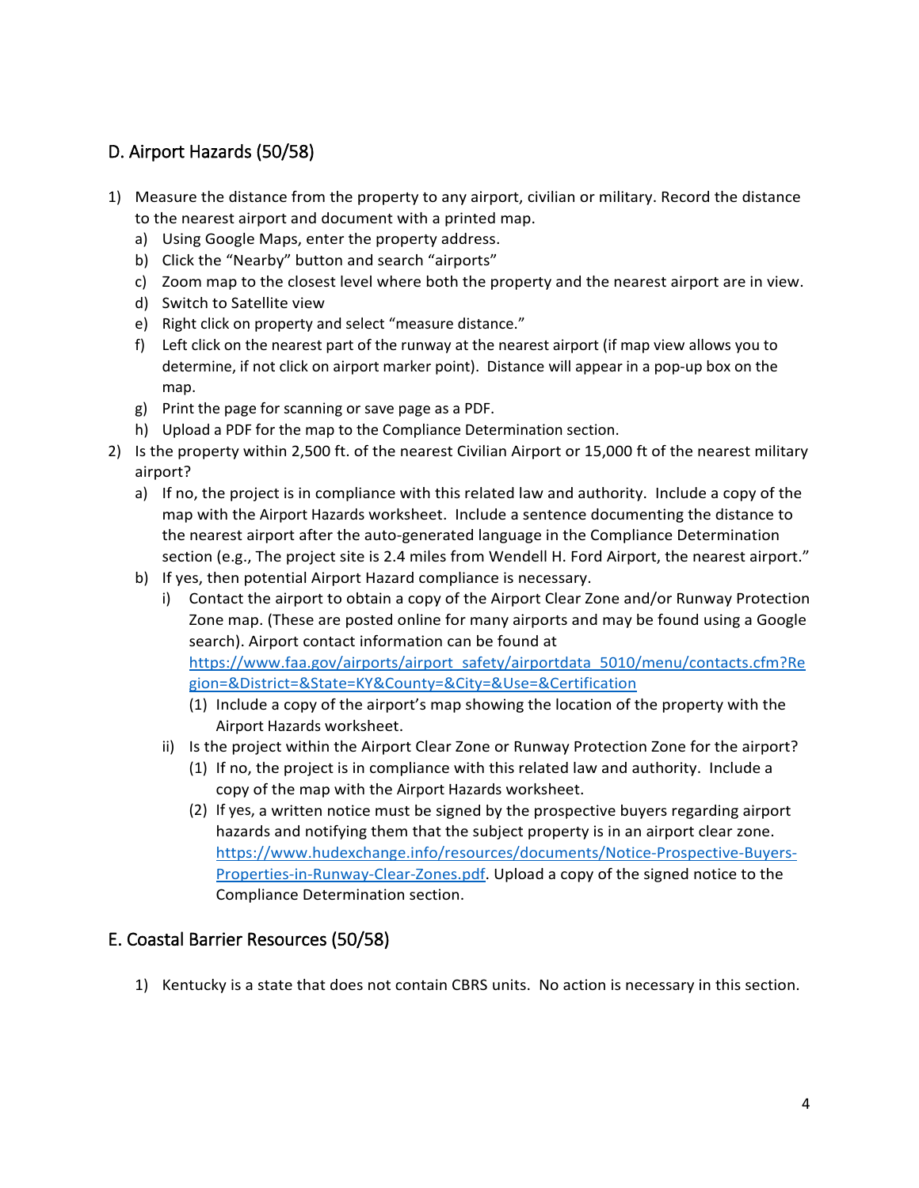# <span id="page-3-0"></span>D. Airport Hazards (50/58)

- 1) Measure the distance from the property to any airport, civilian or military. Record the distance to the nearest airport and document with a printed map.
	- a) Using Google Maps, enter the property address.
	- b) Click the "Nearby" button and search "airports"
	- c) Zoom map to the closest level where both the property and the nearest airport are in view.
	- d) Switch to Satellite view
	- e) Right click on property and select "measure distance."
	- f) Left click on the nearest part of the runway at the nearest airport (if map view allows you to determine, if not click on airport marker point). Distance will appear in a pop-up box on the map.
	- g) Print the page for scanning or save page as a PDF.
	- h) Upload a PDF for the map to the Compliance Determination section.
- 2) Is the property within 2,500 ft. of the nearest Civilian Airport or 15,000 ft of the nearest military airport?
	- a) If no, the project is in compliance with this related law and authority. Include a copy of the map with the Airport Hazards worksheet. Include a sentence documenting the distance to the nearest airport after the auto-generated language in the Compliance Determination section (e.g., The project site is 2.4 miles from Wendell H. Ford Airport, the nearest airport."
	- b) If yes, then potential Airport Hazard compliance is necessary.
		- i) Contact the airport to obtain a copy of the Airport Clear Zone and/or Runway Protection Zone map. (These are posted online for many airports and may be found using a Google search). Airport contact information can be found at [https://www.faa.gov/airports/airport\\_safety/airportdata\\_5010/menu/contacts.cfm?Re](https://www.faa.gov/airports/airport_safety/airportdata_5010/menu/contacts.cfm?Region=&District=&State=KY&County=&City=&Use=&Certification) [gion=&District=&State=KY&County=&City=&Use=&Certification](https://www.faa.gov/airports/airport_safety/airportdata_5010/menu/contacts.cfm?Region=&District=&State=KY&County=&City=&Use=&Certification)
			- (1) Include a copy of the airport's map showing the location of the property with the Airport Hazards worksheet.
		- ii) Is the project within the Airport Clear Zone or Runway Protection Zone for the airport?
			- (1) If no, the project is in compliance with this related law and authority. Include a copy of the map with the Airport Hazards worksheet.
			- (2) If yes, a written notice must be signed by the prospective buyers regarding airport hazards and notifying them that the subject property is in an airport clear zone. [https://www.hudexchange.info/resources/documents/Notice-Prospective-Buyers-](https://www.hudexchange.info/resources/documents/Notice-Prospective-Buyers-Properties-in-Runway-Clear-Zones.pdf)[Properties-in-Runway-Clear-Zones.pdf.](https://www.hudexchange.info/resources/documents/Notice-Prospective-Buyers-Properties-in-Runway-Clear-Zones.pdf) Upload a copy of the signed notice to the Compliance Determination section.

# <span id="page-3-1"></span>E. Coastal Barrier Resources (50/58)

1) Kentucky is a state that does not contain CBRS units. No action is necessary in this section.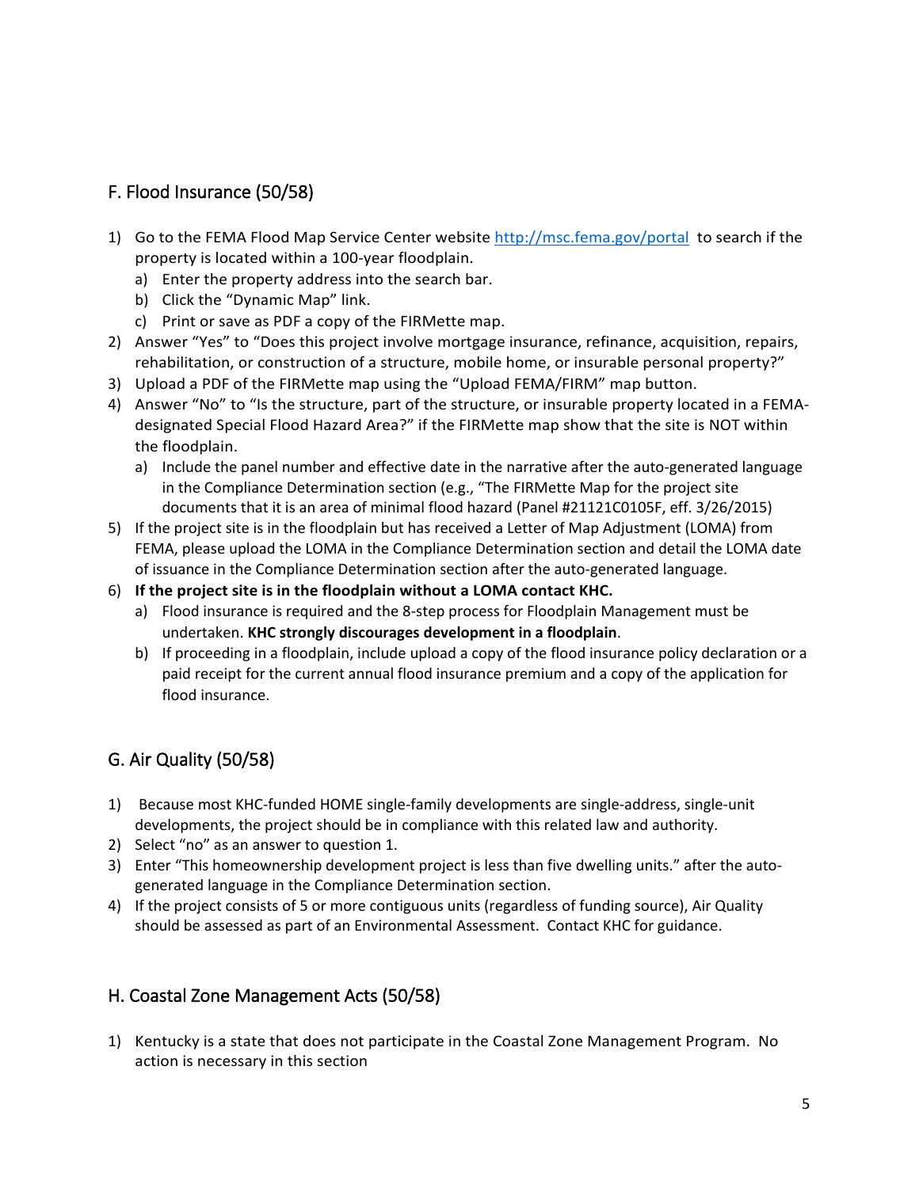## <span id="page-4-0"></span>F. Flood Insurance (50/58)

- 1) Go to the FEMA Flood Map Service Center website<http://msc.fema.gov/portal>to search if the property is located within a 100-year floodplain.
	- a) Enter the property address into the search bar.
	- b) Click the "Dynamic Map" link.
	- c) Print or save as PDF a copy of the FIRMette map.
- 2) Answer "Yes" to "Does this project involve mortgage insurance, refinance, acquisition, repairs, rehabilitation, or construction of a structure, mobile home, or insurable personal property?"
- 3) Upload a PDF of the FIRMette map using the "Upload FEMA/FIRM" map button.
- 4) Answer "No" to "Is the structure, part of the structure, or insurable property located in a FEMAdesignated Special Flood Hazard Area?" if the FIRMette map show that the site is NOT within the floodplain.
	- a) Include the panel number and effective date in the narrative after the auto-generated language in the Compliance Determination section (e.g., "The FIRMette Map for the project site documents that it is an area of minimal flood hazard (Panel #21121C0105F, eff. 3/26/2015)
- 5) If the project site is in the floodplain but has received a Letter of Map Adjustment (LOMA) from FEMA, please upload the LOMA in the Compliance Determination section and detail the LOMA date of issuance in the Compliance Determination section after the auto-generated language.
- 6) **If the project site is in the floodplain without a LOMA contact KHC.** 
	- a) Flood insurance is required and the 8-step process for Floodplain Management must be undertaken. **KHC strongly discourages development in a floodplain**.
	- b) If proceeding in a floodplain, include upload a copy of the flood insurance policy declaration or a paid receipt for the current annual flood insurance premium and a copy of the application for flood insurance.

# <span id="page-4-1"></span>G. Air Quality (50/58)

- 1) Because most KHC-funded HOME single-family developments are single-address, single-unit developments, the project should be in compliance with this related law and authority.
- 2) Select "no" as an answer to question 1.
- 3) Enter "This homeownership development project is less than five dwelling units." after the autogenerated language in the Compliance Determination section.
- 4) If the project consists of 5 or more contiguous units (regardless of funding source), Air Quality should be assessed as part of an Environmental Assessment. Contact KHC for guidance.

# <span id="page-4-2"></span>H. Coastal Zone Management Acts (50/58)

1) Kentucky is a state that does not participate in the Coastal Zone Management Program. No action is necessary in this section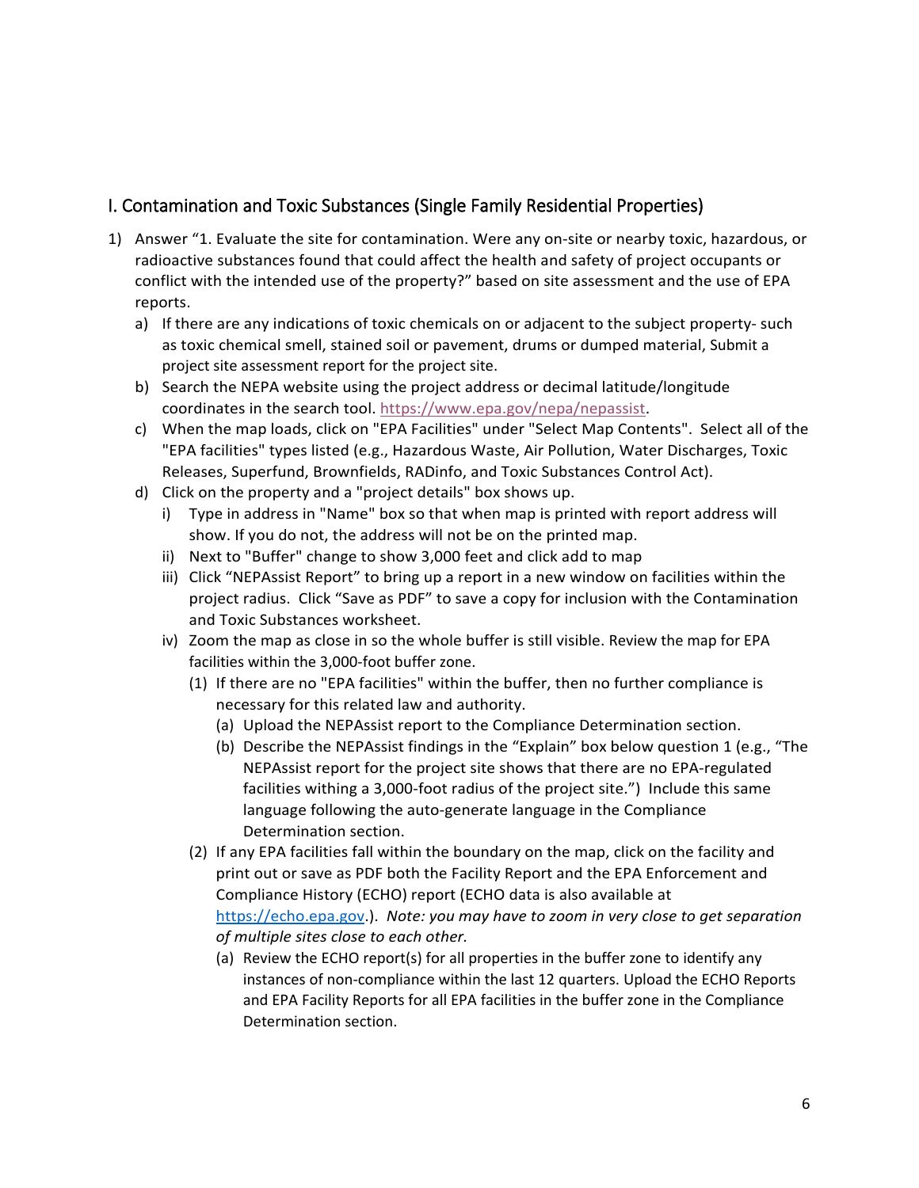## <span id="page-5-0"></span>I. Contamination and Toxic Substances (Single Family Residential Properties)

- 1) Answer "1. Evaluate the site for contamination. Were any on-site or nearby toxic, hazardous, or radioactive substances found that could affect the health and safety of project occupants or conflict with the intended use of the property?" based on site assessment and the use of EPA reports.
	- a) If there are any indications of toxic chemicals on or adjacent to the subject property- such as toxic chemical smell, stained soil or pavement, drums or dumped material, Submit a project site assessment report for the project site.
	- b) Search the NEPA website using the project address or decimal latitude/longitude coordinates in the search tool. [https://www.epa.gov/nepa/nepassist.](https://www.epa.gov/nepa/nepassist)
	- c) When the map loads, click on "EPA Facilities" under "Select Map Contents". Select all of the "EPA facilities" types listed (e.g., Hazardous Waste, Air Pollution, Water Discharges, Toxic Releases, Superfund, Brownfields, RADinfo, and Toxic Substances Control Act).
	- d) Click on the property and a "project details" box shows up.
		- i) Type in address in "Name" box so that when map is printed with report address will show. If you do not, the address will not be on the printed map.
		- ii) Next to "Buffer" change to show 3,000 feet and click add to map
		- iii) Click "NEPAssist Report" to bring up a report in a new window on facilities within the project radius. Click "Save as PDF" to save a copy for inclusion with the Contamination and Toxic Substances worksheet.
		- iv) Zoom the map as close in so the whole buffer is still visible. Review the map for EPA facilities within the 3,000-foot buffer zone.
			- (1) If there are no "EPA facilities" within the buffer, then no further compliance is necessary for this related law and authority.
				- (a) Upload the NEPAssist report to the Compliance Determination section.
				- (b) Describe the NEPAssist findings in the "Explain" box below question 1 (e.g., "The NEPAssist report for the project site shows that there are no EPA-regulated facilities withing a 3,000-foot radius of the project site.") Include this same language following the auto-generate language in the Compliance Determination section.
			- (2) If any EPA facilities fall within the boundary on the map, click on the facility and print out or save as PDF both the Facility Report and the EPA Enforcement and Compliance History (ECHO) report (ECHO data is also available at [https://echo.epa.gov.](https://echo.epa.gov/)). *Note: you may have to zoom in very close to get separation of multiple sites close to each other.*
				- (a) Review the ECHO report(s) for all properties in the buffer zone to identify any instances of non-compliance within the last 12 quarters. Upload the ECHO Reports and EPA Facility Reports for all EPA facilities in the buffer zone in the Compliance Determination section.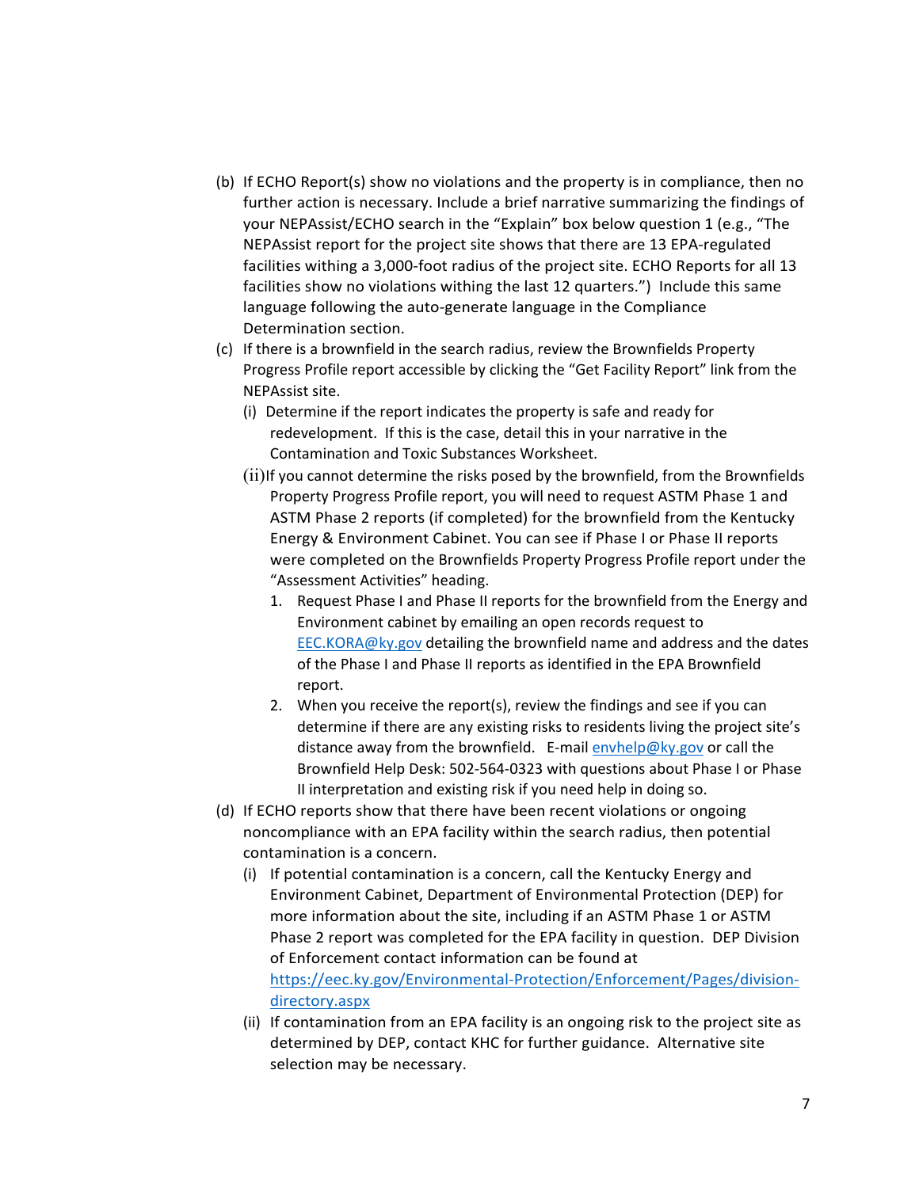- (b) If ECHO Report(s) show no violations and the property is in compliance, then no further action is necessary. Include a brief narrative summarizing the findings of your NEPAssist/ECHO search in the "Explain" box below question 1 (e.g., "The NEPAssist report for the project site shows that there are 13 EPA-regulated facilities withing a 3,000-foot radius of the project site. ECHO Reports for all 13 facilities show no violations withing the last 12 quarters.") Include this same language following the auto-generate language in the Compliance Determination section.
- (c) If there is a brownfield in the search radius, review the Brownfields Property Progress Profile report accessible by clicking the "Get Facility Report" link from the NEPAssist site.
	- (i) Determine if the report indicates the property is safe and ready for redevelopment. If this is the case, detail this in your narrative in the Contamination and Toxic Substances Worksheet.
	- (ii)If you cannot determine the risks posed by the brownfield, from the Brownfields Property Progress Profile report, you will need to request ASTM Phase 1 and ASTM Phase 2 reports (if completed) for the brownfield from the Kentucky Energy & Environment Cabinet. You can see if Phase I or Phase II reports were completed on the Brownfields Property Progress Profile report under the "Assessment Activities" heading.
		- 1. Request Phase I and Phase II reports for the brownfield from the Energy and Environment cabinet by emailing an open records request to [EEC.KORA@ky.gov](mailto:EEC.KORA@ky.gov) detailing the brownfield name and address and the dates of the Phase I and Phase II reports as identified in the EPA Brownfield report.
		- 2. When you receive the report(s), review the findings and see if you can determine if there are any existing risks to residents living the project site's distance away from the brownfield. E-mail [envhelp@ky.gov](mailto:envhelp@ky.gov) or call the Brownfield Help Desk: 502-564-0323 with questions about Phase I or Phase II interpretation and existing risk if you need help in doing so.
- (d) If ECHO reports show that there have been recent violations or ongoing noncompliance with an EPA facility within the search radius, then potential contamination is a concern.
	- (i) If potential contamination is a concern, call the Kentucky Energy and Environment Cabinet, Department of Environmental Protection (DEP) for more information about the site, including if an ASTM Phase 1 or ASTM Phase 2 report was completed for the EPA facility in question. DEP Division of Enforcement contact information can be found at [https://eec.ky.gov/Environmental-Protection/Enforcement/Pages/division](https://eec.ky.gov/Environmental-Protection/Enforcement/Pages/division-directory.aspx)[directory.aspx](https://eec.ky.gov/Environmental-Protection/Enforcement/Pages/division-directory.aspx)
	- (ii) If contamination from an EPA facility is an ongoing risk to the project site as determined by DEP, contact KHC for further guidance. Alternative site selection may be necessary.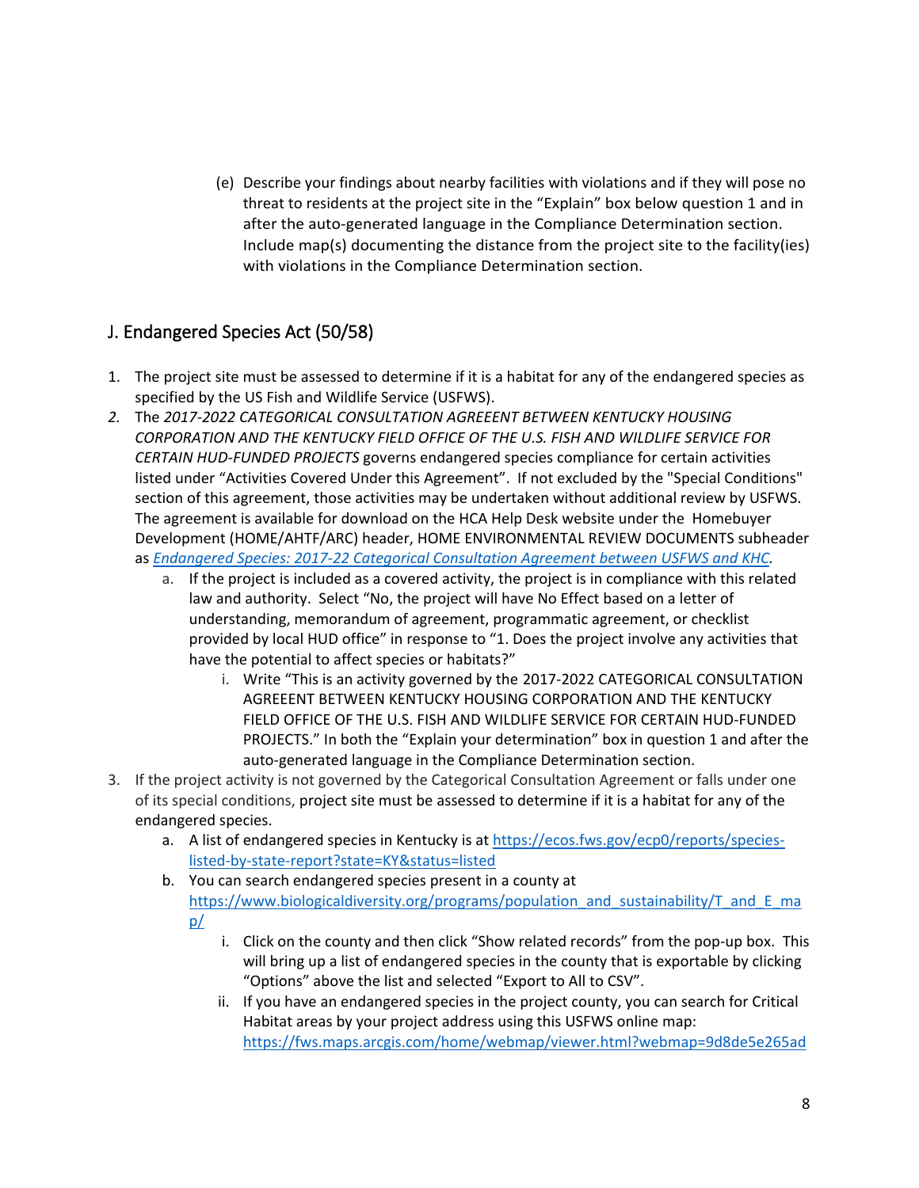(e) Describe your findings about nearby facilities with violations and if they will pose no threat to residents at the project site in the "Explain" box below question 1 and in after the auto-generated language in the Compliance Determination section. Include map(s) documenting the distance from the project site to the facility(ies) with violations in the Compliance Determination section.

## <span id="page-7-0"></span>J. Endangered Species Act (50/58)

- 1. The project site must be assessed to determine if it is a habitat for any of the endangered species as specified by the US Fish and Wildlife Service (USFWS).
- *2.* The *2017-2022 CATEGORICAL CONSULTATION AGREEENT BETWEEN KENTUCKY HOUSING CORPORATION AND THE KENTUCKY FIELD OFFICE OF THE U.S. FISH AND WILDLIFE SERVICE FOR CERTAIN HUD-FUNDED PROJECTS* governs endangered species compliance for certain activities listed under "Activities Covered Under this Agreement". If not excluded by the "Special Conditions" section of this agreement, those activities may be undertaken without additional review by USFWS. The agreement is available for download on the HCA Help Desk website under the Homebuyer Development (HOME/AHTF/ARC) header, HOME ENVIRONMENTAL REVIEW DOCUMENTS subheader as *[Endangered Species: 2017-22 Categorical Consultation Agreement](https://kyhmis.zendesk.com/hc/en-us/article_attachments/360018028433/2017-22_Categorical_Consultation_Agreement.pdf) between USFWS and KHC.*
	- a. If the project is included as a covered activity, the project is in compliance with this related law and authority. Select "No, the project will have No Effect based on a letter of understanding, memorandum of agreement, programmatic agreement, or checklist provided by local HUD office" in response to "1. Does the project involve any activities that have the potential to affect species or habitats?"
		- i. Write "This is an activity governed by the 2017-2022 CATEGORICAL CONSULTATION AGREEENT BETWEEN KENTUCKY HOUSING CORPORATION AND THE KENTUCKY FIELD OFFICE OF THE U.S. FISH AND WILDLIFE SERVICE FOR CERTAIN HUD-FUNDED PROJECTS." In both the "Explain your determination" box in question 1 and after the auto-generated language in the Compliance Determination section.
- 3. If the project activity is not governed by the Categorical Consultation Agreement or falls under one of its special conditions, project site must be assessed to determine if it is a habitat for any of the endangered species.
	- a. A list of endangered species in Kentucky is at [https://ecos.fws.gov/ecp0/reports/species](https://ecos.fws.gov/ecp0/reports/species-listed-by-state-report?state=KY&status=listed)[listed-by-state-report?state=KY&status=listed](https://ecos.fws.gov/ecp0/reports/species-listed-by-state-report?state=KY&status=listed)
	- b. You can search endangered species present in a county at [https://www.biologicaldiversity.org/programs/population\\_and\\_sustainability/T\\_and\\_E\\_ma](https://www.biologicaldiversity.org/programs/population_and_sustainability/T_and_E_map/) [p/](https://www.biologicaldiversity.org/programs/population_and_sustainability/T_and_E_map/)
		- i. Click on the county and then click "Show related records" from the pop-up box. This will bring up a list of endangered species in the county that is exportable by clicking "Options" above the list and selected "Export to All to CSV".
		- ii. If you have an endangered species in the project county, you can search for Critical Habitat areas by your project address using this USFWS online map: [https://fws.maps.arcgis.com/home/webmap/viewer.html?webmap=9d8de5e265ad](https://fws.maps.arcgis.com/home/webmap/viewer.html?webmap=9d8de5e265ad4fe09893cf75b8dbfb77)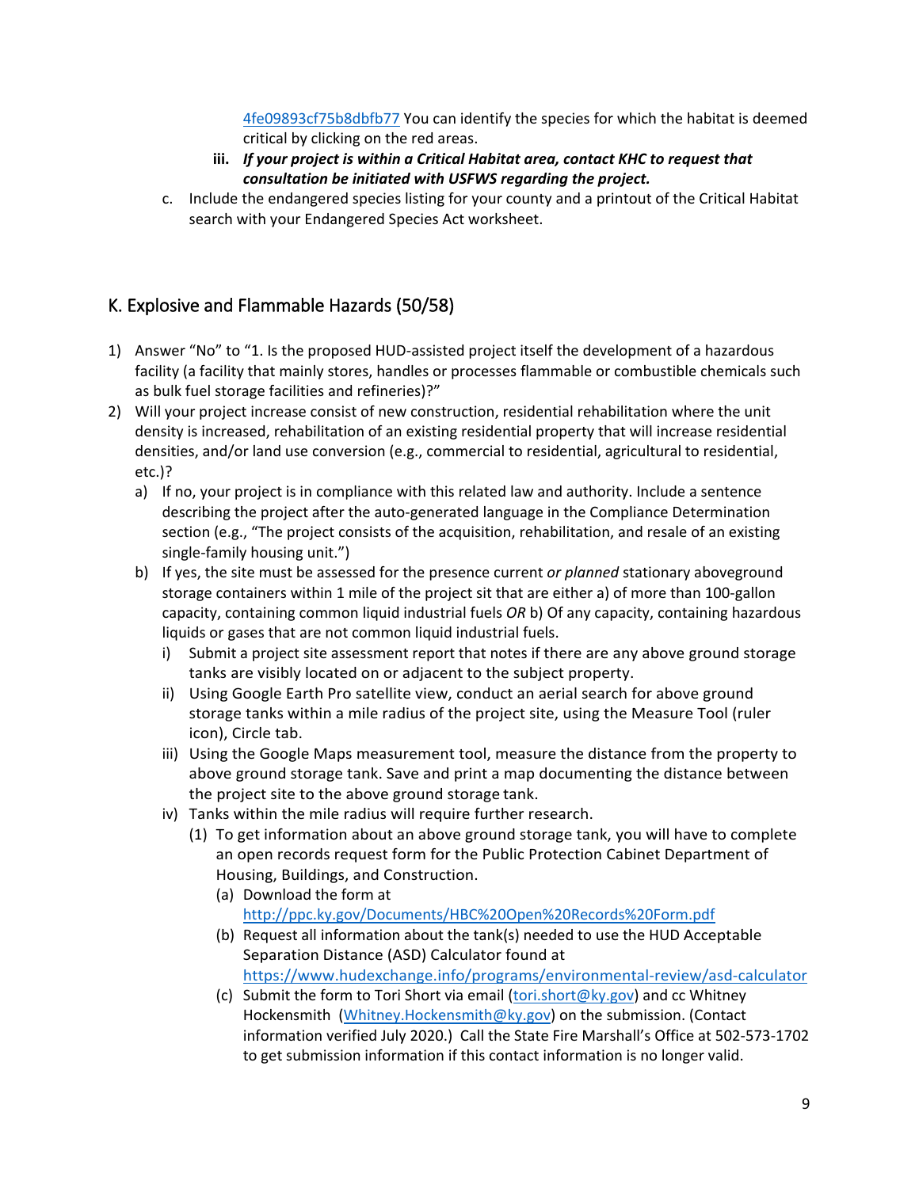[4fe09893cf75b8dbfb77](https://fws.maps.arcgis.com/home/webmap/viewer.html?webmap=9d8de5e265ad4fe09893cf75b8dbfb77) You can identify the species for which the habitat is deemed critical by clicking on the red areas.

- **iii.** *If your project is within a Critical Habitat area, contact KHC to request that consultation be initiated with USFWS regarding the project.*
- c. Include the endangered species listing for your county and a printout of the Critical Habitat search with your Endangered Species Act worksheet.

## <span id="page-8-0"></span>K. Explosive and Flammable Hazards (50/58)

- 1) Answer "No" to "1. Is the proposed HUD-assisted project itself the development of a hazardous facility (a facility that mainly stores, handles or processes flammable or combustible chemicals such as bulk fuel storage facilities and refineries)?"
- 2) Will your project increase consist of new construction, residential rehabilitation where the unit density is increased, rehabilitation of an existing residential property that will increase residential densities, and/or land use conversion (e.g., commercial to residential, agricultural to residential, etc.)?
	- a) If no, your project is in compliance with this related law and authority. Include a sentence describing the project after the auto-generated language in the Compliance Determination section (e.g., "The project consists of the acquisition, rehabilitation, and resale of an existing single-family housing unit.")
	- b) If yes, the site must be assessed for the presence current *or planned* stationary aboveground storage containers within 1 mile of the project sit that are either a) of more than 100-gallon capacity, containing common liquid industrial fuels *OR* b) Of any capacity, containing hazardous liquids or gases that are not common liquid industrial fuels.
		- i) Submit a project site assessment report that notes if there are any above ground storage tanks are visibly located on or adjacent to the subject property.
		- ii) Using Google Earth Pro satellite view, conduct an aerial search for above ground storage tanks within a mile radius of the project site, using the Measure Tool (ruler icon), Circle tab.
		- iii) Using the Google Maps measurement tool, measure the distance from the property to above ground storage tank. Save and print a map documenting the distance between the project site to the above ground storage tank.
		- iv) Tanks within the mile radius will require further research.
			- (1) To get information about an above ground storage tank, you will have to complete an open records request form for the Public Protection Cabinet Department of Housing, Buildings, and Construction.
				- (a) Download the form at <http://ppc.ky.gov/Documents/HBC%20Open%20Records%20Form.pdf>
				- (b) Request all information about the tank(s) needed to use the HUD Acceptable Separation Distance (ASD) Calculator found at <https://www.hudexchange.info/programs/environmental-review/asd-calculator>
				- (c) Submit the form to Tori Short via email [\(tori.short@ky.gov\)](mailto:tori.short@ky.gov) and cc Whitney Hockensmith [\(Whitney.Hockensmith@ky.gov\)](mailto:Whitney.Hockensmith@ky.gov) on the submission. (Contact information verified July 2020.) Call the State Fire Marshall's Office at 502-573-1702 to get submission information if this contact information is no longer valid.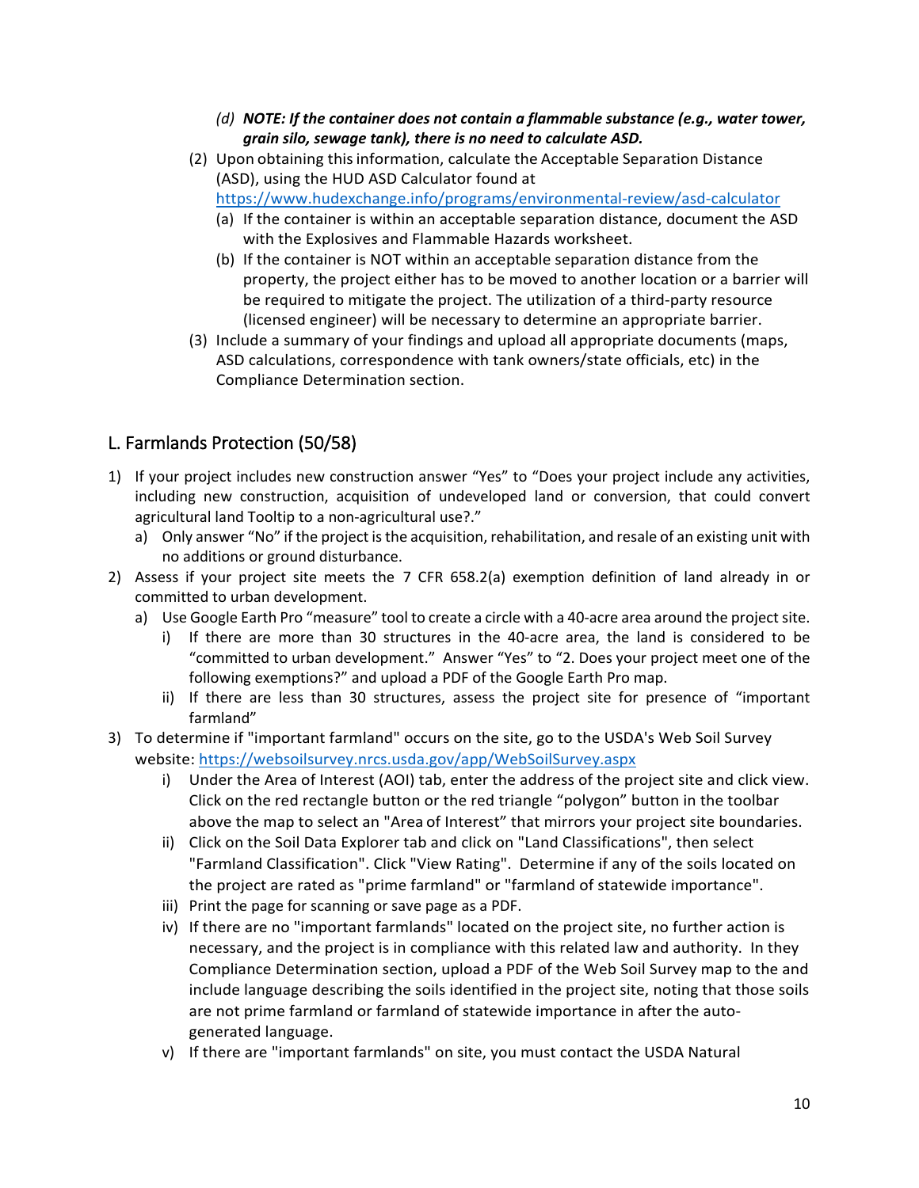- *(d) NOTE: If the container does not contain a flammable substance (e.g., water tower, grain silo, sewage tank), there is no need to calculate ASD.*
- (2) Upon obtaining thisinformation, calculate the Acceptable Separation Distance (ASD), using the HUD ASD Calculator found at <https://www.hudexchange.info/programs/environmental-review/asd-calculator>
	- (a) If the container is within an acceptable separation distance, document the ASD with the Explosives and Flammable Hazards worksheet.
	- (b) If the container is NOT within an acceptable separation distance from the property, the project either has to be moved to another location or a barrier will be required to mitigate the project. The utilization of a third-party resource (licensed engineer) will be necessary to determine an appropriate barrier.
- (3) Include a summary of your findings and upload all appropriate documents (maps, ASD calculations, correspondence with tank owners/state officials, etc) in the Compliance Determination section.

## <span id="page-9-0"></span>L. Farmlands Protection (50/58)

- 1) If your project includes new construction answer "Yes" to "Does your project include any activities, including new construction, acquisition of undeveloped land or conversion, that could convert agricultural land Tooltip to a non-agricultural use?."
	- a) Only answer "No" if the project is the acquisition, rehabilitation, and resale of an existing unit with no additions or ground disturbance.
- 2) Assess if your project site meets the 7 CFR 658.2(a) exemption definition of land already in or committed to urban development.
	- a) Use Google Earth Pro "measure" tool to create a circle with a 40-acre area around the project site.
		- i) If there are more than 30 structures in the 40-acre area, the land is considered to be "committed to urban development." Answer "Yes" to "2. Does your project meet one of the following exemptions?" and upload a PDF of the Google Earth Pro map.
		- ii) If there are less than 30 structures, assess the project site for presence of "important farmland"
- 3) To determine if "important farmland" occurs on the site, go to the USDA's Web Soil Survey website:<https://websoilsurvey.nrcs.usda.gov/app/WebSoilSurvey.aspx>
	- i) Under the Area of Interest (AOI) tab, enter the address of the project site and click view. Click on the red rectangle button or the red triangle "polygon" button in the toolbar above the map to select an "Area of Interest" that mirrors your project site boundaries.
	- ii) Click on the Soil Data Explorer tab and click on "Land Classifications", then select "Farmland Classification". Click "View Rating". Determine if any of the soils located on the project are rated as "prime farmland" or "farmland of statewide importance".
	- iii) Print the page for scanning or save page as a PDF.
	- iv) If there are no "important farmlands" located on the project site, no further action is necessary, and the project is in compliance with this related law and authority. In they Compliance Determination section, upload a PDF of the Web Soil Survey map to the and include language describing the soils identified in the project site, noting that those soils are not prime farmland or farmland of statewide importance in after the autogenerated language.
	- v) If there are "important farmlands" on site, you must contact the USDA Natural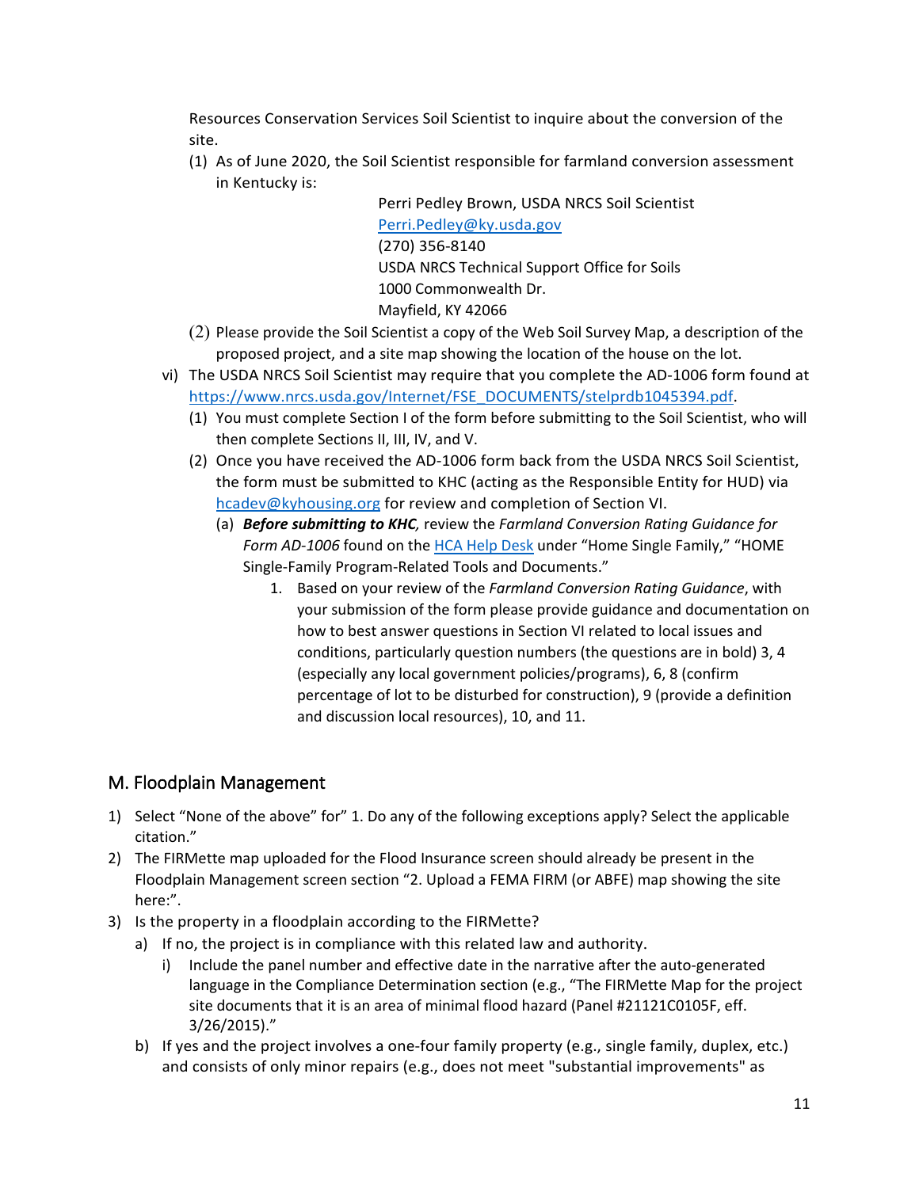Resources Conservation Services Soil Scientist to inquire about the conversion of the site.

(1) As of June 2020, the Soil Scientist responsible for farmland conversion assessment in Kentucky is:

> Perri Pedley Brown, USDA NRCS Soil Scientist [Perri.Pedley@ky.usda.gov](mailto:Perri.Pedley@ky.usda.gov) (270) 356-8140 USDA NRCS Technical Support Office for Soils 1000 Commonwealth Dr. Mayfield, KY 42066

- (2) Please provide the Soil Scientist a copy of the Web Soil Survey Map, a description of the proposed project, and a site map showing the location of the house on the lot.
- vi) The USDA NRCS Soil Scientist may require that you complete the AD-1006 form found at [https://www.nrcs.usda.gov/Internet/FSE\\_DOCUMENTS/stelprdb1045394.pdf.](https://www.nrcs.usda.gov/Internet/FSE_DOCUMENTS/stelprdb1045394.pdf)
	- (1) You must complete Section I of the form before submitting to the Soil Scientist, who will then complete Sections II, III, IV, and V.
	- (2) Once you have received the AD-1006 form back from the USDA NRCS Soil Scientist, the form must be submitted to KHC (acting as the Responsible Entity for HUD) via [hcadev@kyhousing.org](mailto:hcadev@kyhousing.org) for review and completion of Section VI.
		- (a) *Before submitting to KHC,* review the *Farmland Conversion Rating Guidance for Form AD-1006* found on the [HCA Help Desk](https://kyhmis.zendesk.com/) under "Home Single Family," "HOME Single-Family Program-Related Tools and Documents."
			- 1. Based on your review of the *Farmland Conversion Rating Guidance*, with your submission of the form please provide guidance and documentation on how to best answer questions in Section VI related to local issues and conditions, particularly question numbers (the questions are in bold) 3, 4 (especially any local government policies/programs), 6, 8 (confirm percentage of lot to be disturbed for construction), 9 (provide a definition and discussion local resources), 10, and 11.

### <span id="page-10-0"></span>M. Floodplain Management

- 1) Select "None of the above" for" 1. Do any of the following exceptions apply? Select the applicable citation."
- 2) The FIRMette map uploaded for the Flood Insurance screen should already be present in the Floodplain Management screen section "2. Upload a FEMA FIRM (or ABFE) map showing the site here:".
- 3) Is the property in a floodplain according to the FIRMette?
	- a) If no, the project is in compliance with this related law and authority.
		- i) Include the panel number and effective date in the narrative after the auto-generated language in the Compliance Determination section (e.g., "The FIRMette Map for the project site documents that it is an area of minimal flood hazard (Panel #21121C0105F, eff. 3/26/2015)."
	- b) If yes and the project involves a one-four family property (e.g., single family, duplex, etc.) and consists of only minor repairs (e.g., does not meet "substantial improvements" as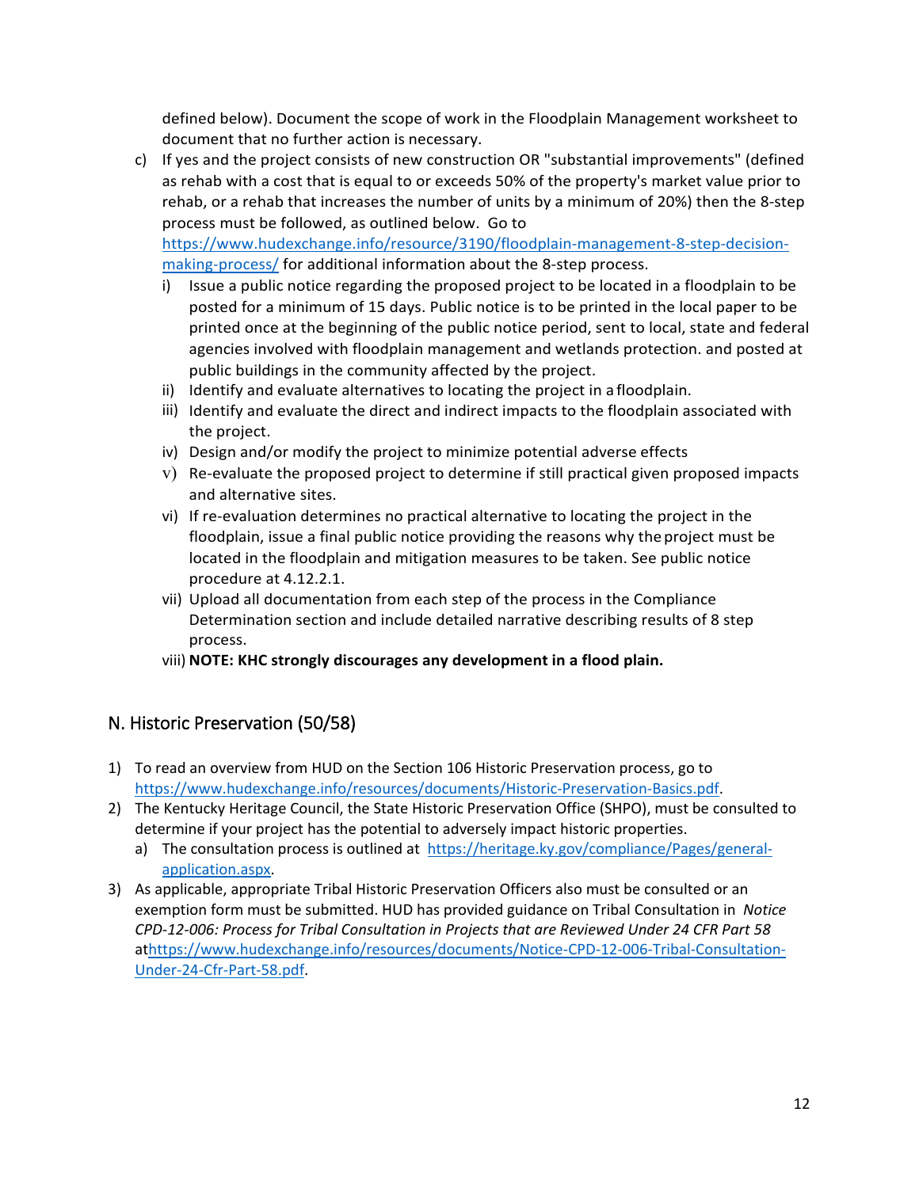defined below). Document the scope of work in the Floodplain Management worksheet to document that no further action is necessary.

c) If yes and the project consists of new construction OR "substantial improvements" (defined as rehab with a cost that is equal to or exceeds 50% of the property's market value prior to rehab, or a rehab that increases the number of units by a minimum of 20%) then the 8-step process must be followed, as outlined below. Go to

[https://www.hudexchange.info/resource/3190/floodplain-management-8-step-decision](https://www.hudexchange.info/resource/3190/floodplain-management-8-step-decision-making-process/)[making-process/](https://www.hudexchange.info/resource/3190/floodplain-management-8-step-decision-making-process/) for additional information about the 8-step process.

- i) Issue a public notice regarding the proposed project to be located in a floodplain to be posted for a minimum of 15 days. Public notice is to be printed in the local paper to be printed once at the beginning of the public notice period, sent to local, state and federal agencies involved with floodplain management and wetlands protection. and posted at public buildings in the community affected by the project.
- ii) Identify and evaluate alternatives to locating the project in a floodplain.
- iii) Identify and evaluate the direct and indirect impacts to the floodplain associated with the project.
- iv) Design and/or modify the project to minimize potential adverse effects
- v) Re-evaluate the proposed project to determine if still practical given proposed impacts and alternative sites.
- vi) If re-evaluation determines no practical alternative to locating the project in the floodplain, issue a final public notice providing the reasons why theproject must be located in the floodplain and mitigation measures to be taken. See public notice procedure at 4.12.2.1.
- vii) Upload all documentation from each step of the process in the Compliance Determination section and include detailed narrative describing results of 8 step process.
- viii) **NOTE: KHC strongly discourages any development in a flood plain.**

### <span id="page-11-0"></span>N. Historic Preservation (50/58)

- 1) To read an overview from HUD on the Section 106 Historic Preservation process, go to [https://www.hudexchange.info/resources/documents/Historic-Preservation-Basics.pdf.](https://www.hudexchange.info/resources/documents/Historic-Preservation-Basics.pdf)
- 2) The Kentucky Heritage Council, the State Historic Preservation Office (SHPO), must be consulted to determine if your project has the potential to adversely impact historic properties.
	- a) The consultation process is outlined at [https://heritage.ky.gov/compliance/Pages/general](https://heritage.ky.gov/compliance/Pages/general-application.aspx)[application.aspx.](https://heritage.ky.gov/compliance/Pages/general-application.aspx)
- 3) As applicable, appropriate Tribal Historic Preservation Officers also must be consulted or an exemption form must be submitted. HUD has provided guidance on Tribal Consultation in *Notice CPD-12-006: Process for Tribal Consultation in Projects that are Reviewed Under 24 CFR Part 58*  a[thttps://www.hudexchange.info/resources/documents/Notice-CPD-12-006-Tribal-Consultation-](https://www.hudexchange.info/resources/documents/Notice-CPD-12-006-Tribal-Consultation-Under-24-Cfr-Part-58.pdf)[Under-24-Cfr-Part-58.pdf.](https://www.hudexchange.info/resources/documents/Notice-CPD-12-006-Tribal-Consultation-Under-24-Cfr-Part-58.pdf)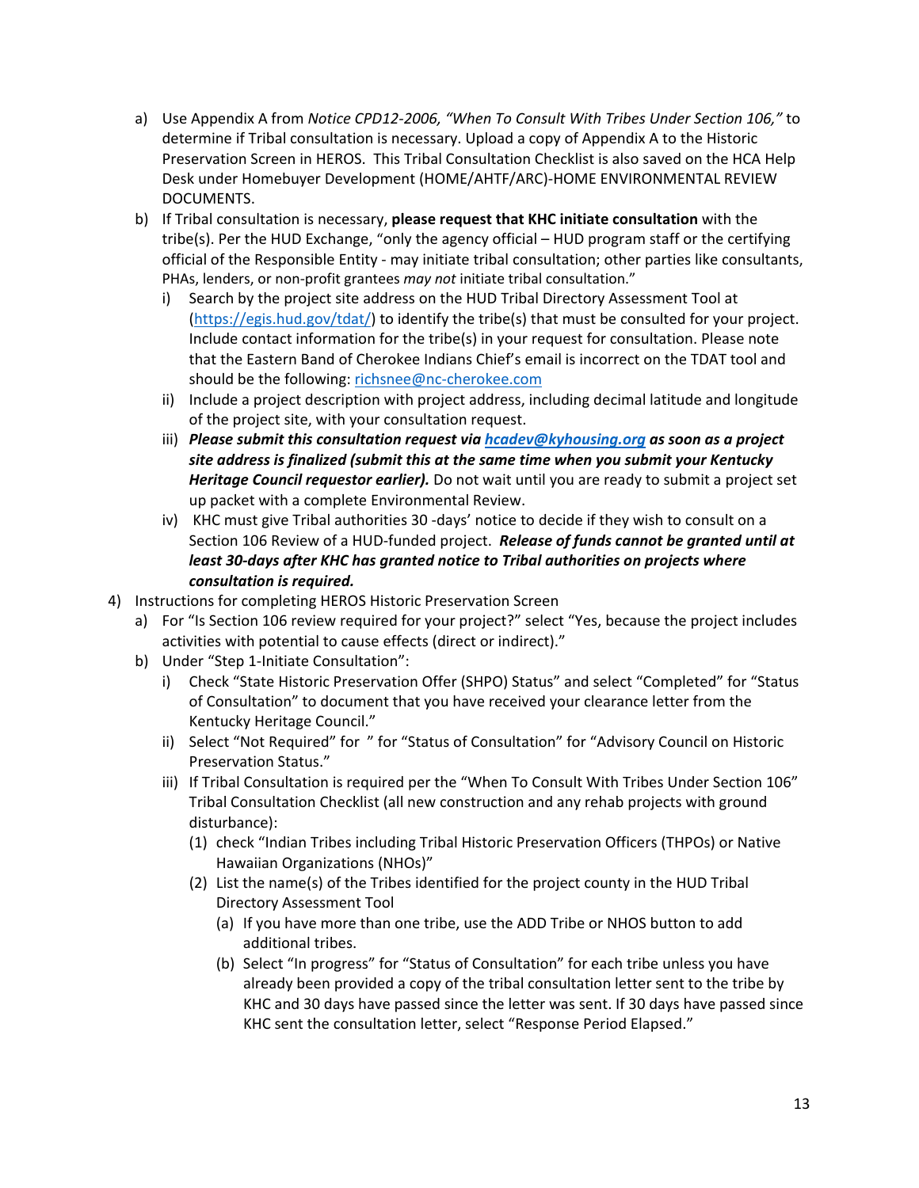- a) Use Appendix A from *Notice CPD12-2006, "When To Consult With Tribes Under Section 106,"* to determine if Tribal consultation is necessary. Upload a copy of Appendix A to the Historic Preservation Screen in HEROS. This Tribal Consultation Checklist is also saved on the HCA Help Desk under Homebuyer Development (HOME/AHTF/ARC)-HOME ENVIRONMENTAL REVIEW DOCUMENTS.
- b) If Tribal consultation is necessary, **please request that KHC initiate consultation** with the tribe(s). Per the HUD Exchange, "only the agency official – HUD program staff or the certifying official of the Responsible Entity - may initiate tribal consultation; other parties like consultants, PHAs, lenders, or non-profit grantees *may not* initiate tribal consultation."
	- i) Search by the project site address on the HUD Tribal Directory Assessment Tool at [\(https://egis.hud.gov/tdat/\)](https://egis.hud.gov/tdat/) to identify the tribe(s) that must be consulted for your project. Include contact information for the tribe(s) in your request for consultation. Please note that the Eastern Band of Cherokee Indians Chief's email is incorrect on the TDAT tool and should be the following: [richsnee@nc-cherokee.com](mailto:richsnee@nc-cherokee.com)
	- ii) Include a project description with project address, including decimal latitude and longitude of the project site, with your consultation request.
	- iii) *Please submit this consultation request via [hcadev@kyhousing.org](mailto:hcadev@kyhousing.org) as soon as a project site address is finalized (submit this at the same time when you submit your Kentucky Heritage Council requestor earlier).* Do not wait until you are ready to submit a project set up packet with a complete Environmental Review.
	- iv) KHC must give Tribal authorities 30 -days' notice to decide if they wish to consult on a Section 106 Review of a HUD-funded project.*Release of funds cannot be granted until at least 30-days after KHC has granted notice to Tribal authorities on projects where consultation is required.*
- 4) Instructions for completing HEROS Historic Preservation Screen
	- a) For "Is Section 106 review required for your project?" select "Yes, because the project includes activities with potential to cause effects (direct or indirect)."
	- b) Under "Step 1-Initiate Consultation":
		- i) Check "State Historic Preservation Offer (SHPO) Status" and select "Completed" for "Status of Consultation" to document that you have received your clearance letter from the Kentucky Heritage Council."
		- ii) Select "Not Required" for " for "Status of Consultation" for "Advisory Council on Historic Preservation Status."
		- iii) If Tribal Consultation is required per the "When To Consult With Tribes Under Section 106" Tribal Consultation Checklist (all new construction and any rehab projects with ground disturbance):
			- (1) check "Indian Tribes including Tribal Historic Preservation Officers (THPOs) or Native Hawaiian Organizations (NHOs)"
			- (2) List the name(s) of the Tribes identified for the project county in the HUD Tribal Directory Assessment Tool
				- (a) If you have more than one tribe, use the ADD Tribe or NHOS button to add additional tribes.
				- (b) Select "In progress" for "Status of Consultation" for each tribe unless you have already been provided a copy of the tribal consultation letter sent to the tribe by KHC and 30 days have passed since the letter was sent. If 30 days have passed since KHC sent the consultation letter, select "Response Period Elapsed."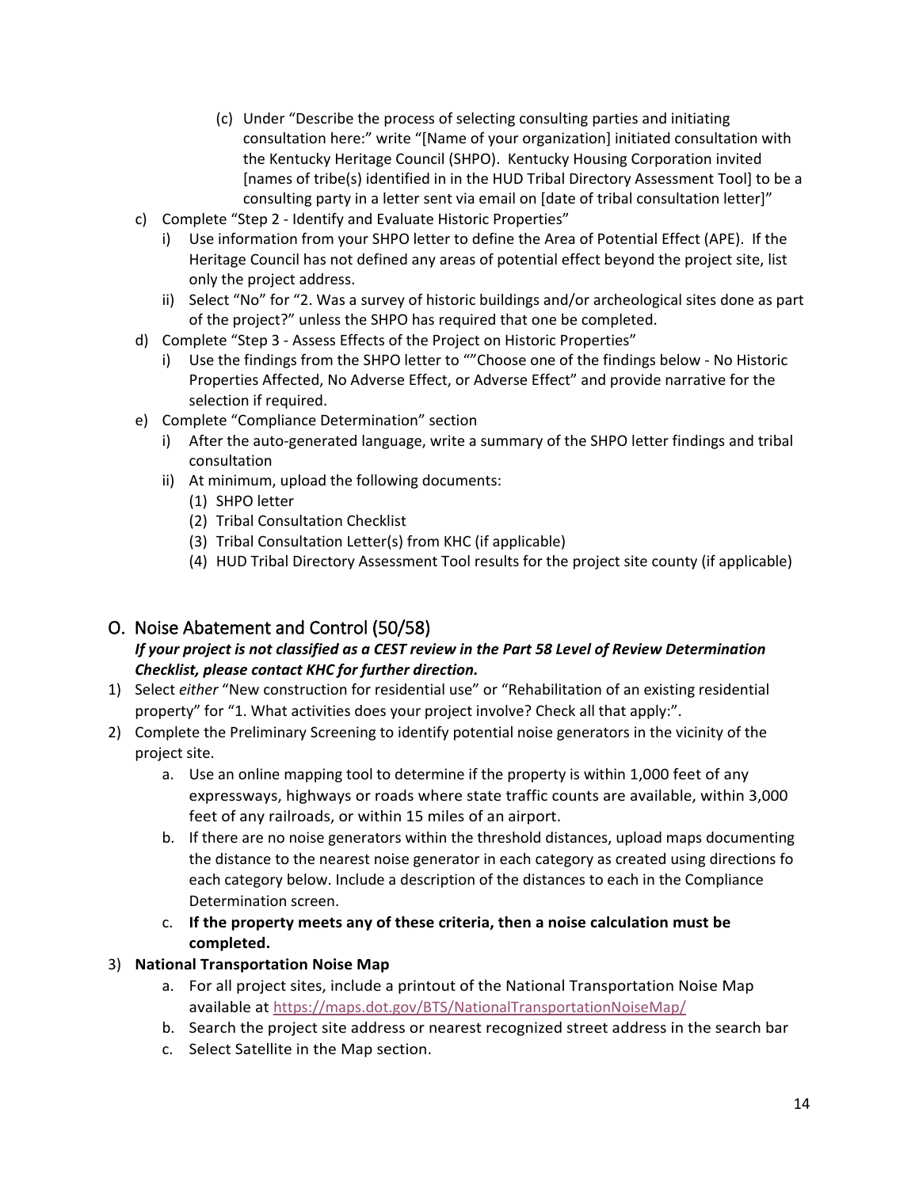- (c) Under "Describe the process of selecting consulting parties and initiating consultation here:" write "[Name of your organization] initiated consultation with the Kentucky Heritage Council (SHPO). Kentucky Housing Corporation invited [names of tribe(s) identified in in the HUD Tribal Directory Assessment Tool] to be a consulting party in a letter sent via email on [date of tribal consultation letter]"
- c) Complete "Step 2 Identify and Evaluate Historic Properties"
	- i) Use information from your SHPO letter to define the Area of Potential Effect (APE). If the Heritage Council has not defined any areas of potential effect beyond the project site, list only the project address.
	- ii) Select "No" for "2. Was a survey of historic buildings and/or archeological sites done as part of the project?" unless the SHPO has required that one be completed.
- d) Complete "Step 3 Assess Effects of the Project on Historic Properties"
	- i) Use the findings from the SHPO letter to ""Choose one of the findings below No Historic Properties Affected, No Adverse Effect, or Adverse Effect" and provide narrative for the selection if required.
- e) Complete "Compliance Determination" section
	- i) After the auto-generated language, write a summary of the SHPO letter findings and tribal consultation
	- ii) At minimum, upload the following documents:
		- (1) SHPO letter
		- (2) Tribal Consultation Checklist
		- (3) Tribal Consultation Letter(s) from KHC (if applicable)
		- (4) HUD Tribal Directory Assessment Tool results for the project site county (if applicable)

### <span id="page-13-0"></span>O. Noise Abatement and Control (50/58)

#### *If your project is not classified as a CEST review in the Part 58 Level of Review Determination Checklist, please contact KHC for further direction.*

- 1) Select *either* "New construction for residential use" or "Rehabilitation of an existing residential property" for "1. What activities does your project involve? Check all that apply:".
- 2) Complete the Preliminary Screening to identify potential noise generators in the vicinity of the project site.
	- a. Use an online mapping tool to determine if the property is within 1,000 feet of any expressways, highways or roads where state traffic counts are available, within 3,000 feet of any railroads, or within 15 miles of an airport.
	- b. If there are no noise generators within the threshold distances, upload maps documenting the distance to the nearest noise generator in each category as created using directions fo each category below. Include a description of the distances to each in the Compliance Determination screen.
	- c. **If the property meets any of these criteria, then a noise calculation must be completed.**

#### 3) **National Transportation Noise Map**

- a. For all project sites, include a printout of the National Transportation Noise Map available at <https://maps.dot.gov/BTS/NationalTransportationNoiseMap/>
- b. Search the project site address or nearest recognized street address in the search bar
- c. Select Satellite in the Map section.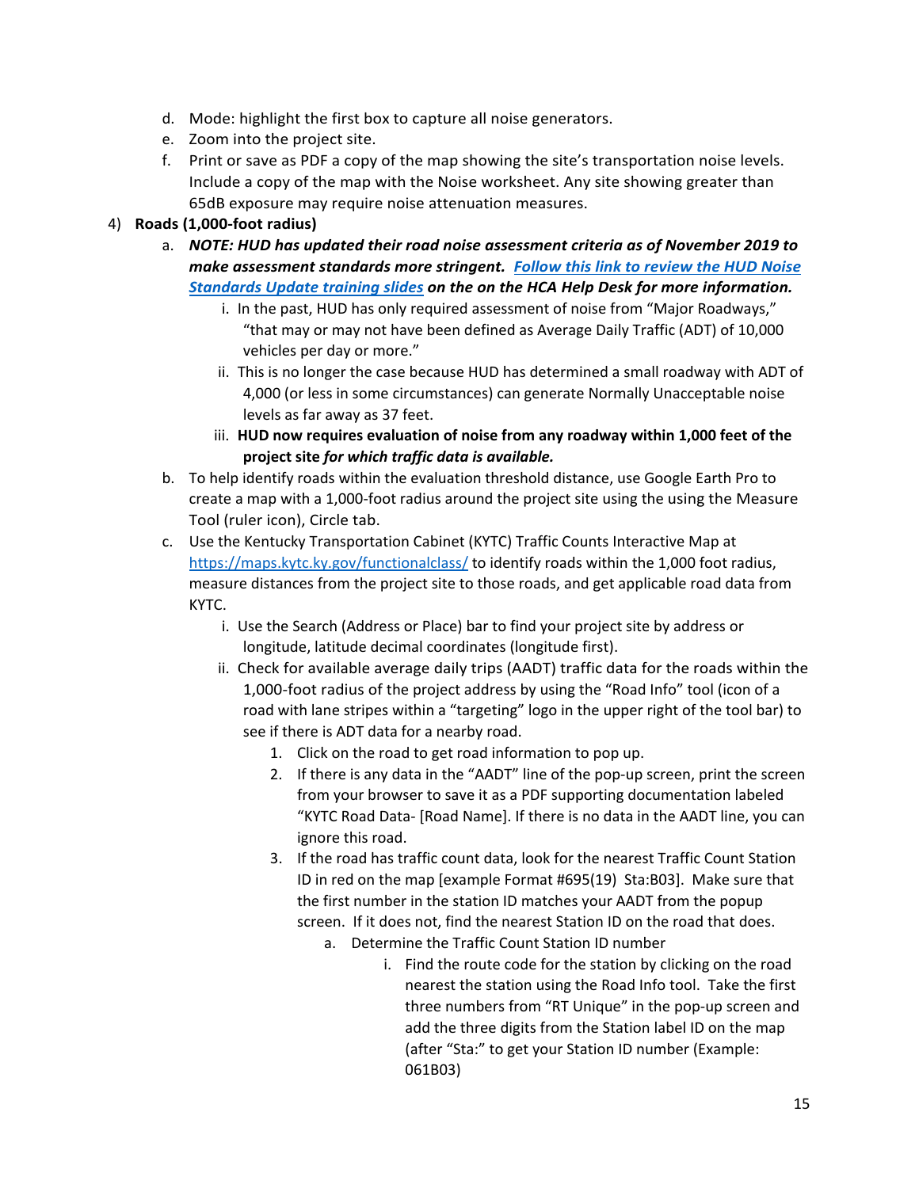- d. Mode: highlight the first box to capture all noise generators.
- e. Zoom into the project site.
- f. Print or save as PDF a copy of the map showing the site's transportation noise levels. Include a copy of the map with the Noise worksheet. Any site showing greater than 65dB exposure may require noise attenuation measures.

#### 4) **Roads (1,000-foot radius)**

- a. *NOTE: HUD has updated their road noise assessment criteria as of November 2019 to make assessment standards more stringent. [Follow this link to review](https://kyhmis.zendesk.com/hc/en-us/article_attachments/360076351754/HUD_Noise_Standards_Update_Training_Slides-2019.pdf) the HUD Noise [Standards Update](https://kyhmis.zendesk.com/hc/en-us/article_attachments/360076351754/HUD_Noise_Standards_Update_Training_Slides-2019.pdf) training slides on the on the HCA Help Desk for more information.*
	- i. In the past, HUD has only required assessment of noise from "Major Roadways," "that may or may not have been defined as Average Daily Traffic (ADT) of 10,000 vehicles per day or more."
	- ii. This is no longer the case because HUD has determined a small roadway with ADT of 4,000 (or less in some circumstances) can generate Normally Unacceptable noise levels as far away as 37 feet.
	- iii. **HUD now requires evaluation of noise from any roadway within 1,000 feet of the project site** *for which traffic data is available.*
- b. To help identify roads within the evaluation threshold distance, use Google Earth Pro to create a map with a 1,000-foot radius around the project site using the using the Measure Tool (ruler icon), Circle tab.
- c. Use the Kentucky Transportation Cabinet (KYTC) Traffic Counts Interactive Map at <https://maps.kytc.ky.gov/functionalclass/> to identify roads within the 1,000 foot radius, measure distances from the project site to those roads, and get applicable road data from KYTC.
	- i. Use the Search (Address or Place) bar to find your project site by address or longitude, latitude decimal coordinates (longitude first).
	- ii. Check for available average daily trips (AADT) traffic data for the roads within the 1,000-foot radius of the project address by using the "Road Info" tool (icon of a road with lane stripes within a "targeting" logo in the upper right of the tool bar) to see if there is ADT data for a nearby road.
		- 1. Click on the road to get road information to pop up.
		- 2. If there is any data in the "AADT" line of the pop-up screen, print the screen from your browser to save it as a PDF supporting documentation labeled "KYTC Road Data- [Road Name]. If there is no data in the AADT line, you can ignore this road.
		- 3. If the road has traffic count data, look for the nearest Traffic Count Station ID in red on the map [example Format #695(19) Sta:B03]. Make sure that the first number in the station ID matches your AADT from the popup screen. If it does not, find the nearest Station ID on the road that does.
			- a. Determine the Traffic Count Station ID number
				- i. Find the route code for the station by clicking on the road nearest the station using the Road Info tool. Take the first three numbers from "RT Unique" in the pop-up screen and add the three digits from the Station label ID on the map (after "Sta:" to get your Station ID number (Example: 061B03)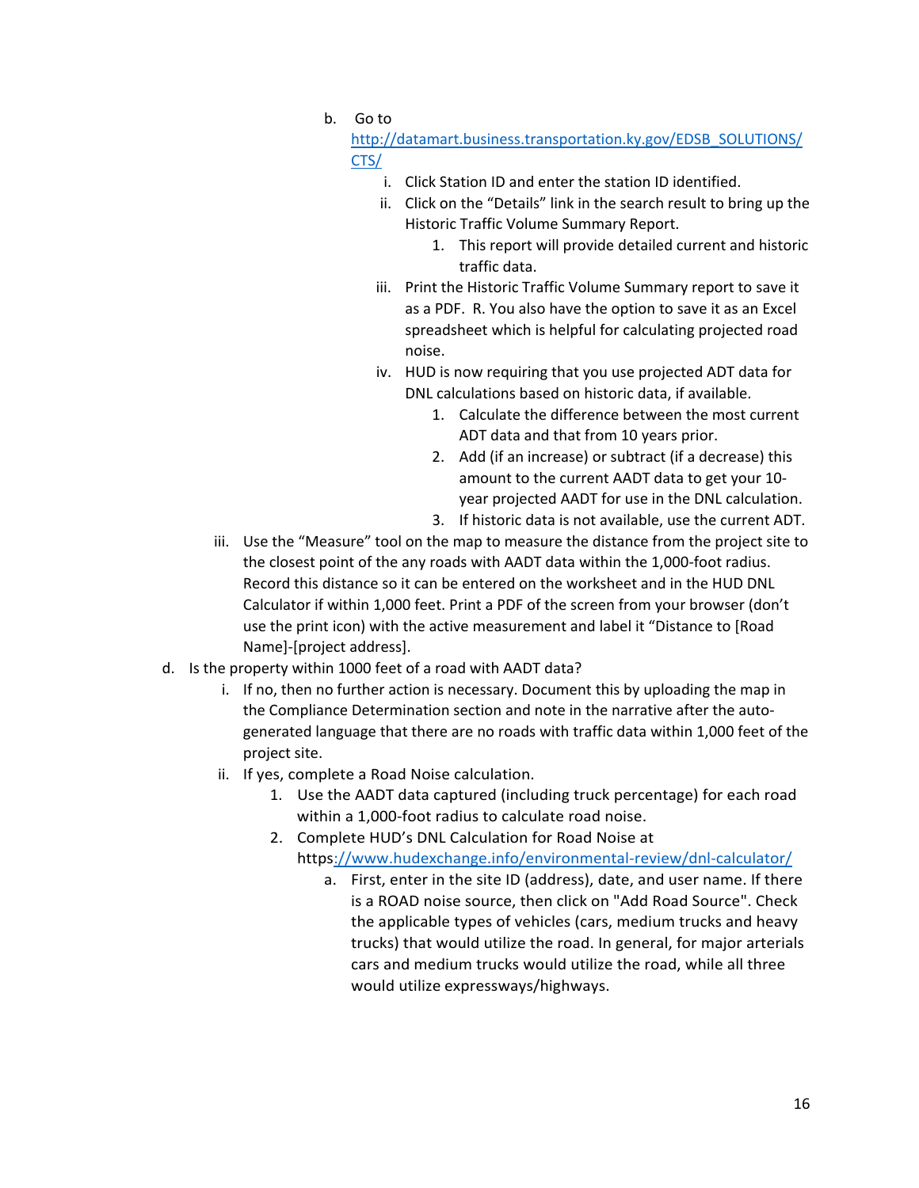b. Go to

[http://datamart.business.transportation.ky.gov/EDSB\\_SOLUTIONS/](http://datamart.business.transportation.ky.gov/EDSB_SOLUTIONS/CTS/) [CTS/](http://datamart.business.transportation.ky.gov/EDSB_SOLUTIONS/CTS/)

- i. Click Station ID and enter the station ID identified.
- ii. Click on the "Details" link in the search result to bring up the Historic Traffic Volume Summary Report.
	- 1. This report will provide detailed current and historic traffic data.
- iii. Print the Historic Traffic Volume Summary report to save it as a PDF. R. You also have the option to save it as an Excel spreadsheet which is helpful for calculating projected road noise.
- iv. HUD is now requiring that you use projected ADT data for DNL calculations based on historic data, if available.
	- 1. Calculate the difference between the most current ADT data and that from 10 years prior.
	- 2. Add (if an increase) or subtract (if a decrease) this amount to the current AADT data to get your 10 year projected AADT for use in the DNL calculation.
	- 3. If historic data is not available, use the current ADT.
- iii. Use the "Measure" tool on the map to measure the distance from the project site to the closest point of the any roads with AADT data within the 1,000-foot radius. Record this distance so it can be entered on the worksheet and in the HUD DNL Calculator if within 1,000 feet. Print a PDF of the screen from your browser (don't use the print icon) with the active measurement and label it "Distance to [Road Name]-[project address].
- d. Is the property within 1000 feet of a road with AADT data?
	- i. If no, then no further action is necessary. Document this by uploading the map in the Compliance Determination section and note in the narrative after the autogenerated language that there are no roads with traffic data within 1,000 feet of the project site.
	- ii. If yes, complete a Road Noise calculation.
		- 1. Use the AADT data captured (including truck percentage) for each road within a 1,000-foot radius to calculate road noise.
		- 2. Complete HUD's DNL Calculation for Road Noise at
			- http[s://www.hudexchange.info/environmental-review/dnl-calculator/](http://www.hudexchange.info/environmental-review/dnl-calculator/)
				- a. First, enter in the site ID (address), date, and user name. If there is a ROAD noise source, then click on "Add Road Source". Check the applicable types of vehicles (cars, medium trucks and heavy trucks) that would utilize the road. In general, for major arterials cars and medium trucks would utilize the road, while all three would utilize expressways/highways.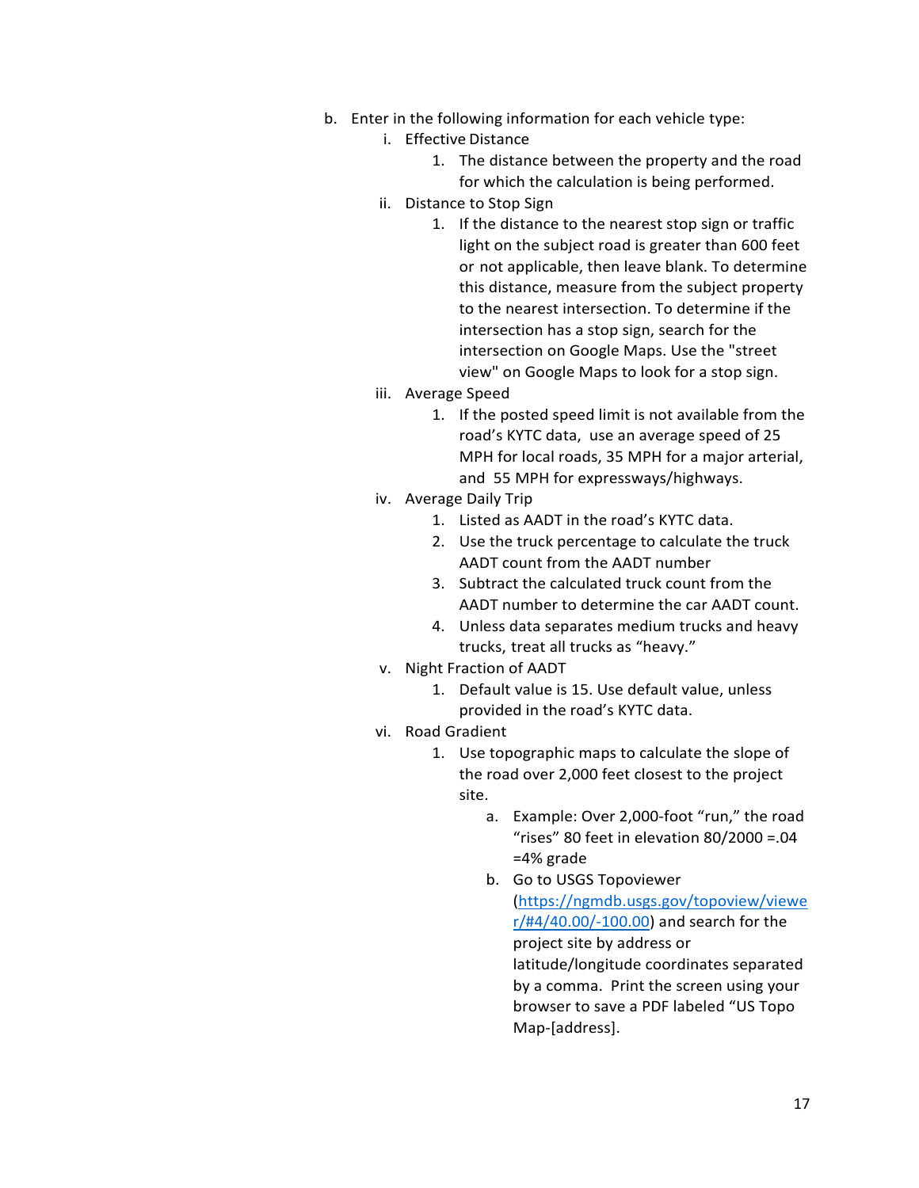- b. Enter in the following information for each vehicle type:
	- i. Effective Distance
		- 1. The distance between the property and the road for which the calculation is being performed.
	- ii. Distance to Stop Sign
		- 1. If the distance to the nearest stop sign or traffic light on the subject road is greater than 600 feet or not applicable, then leave blank. To determine this distance, measure from the subject property to the nearest intersection. To determine if the intersection has a stop sign, search for the intersection on Google Maps. Use the "street view" on Google Maps to look for a stop sign.
	- iii. Average Speed
		- 1. If the posted speed limit is not available from the road's KYTC data, use an average speed of 25 MPH for local roads, 35 MPH for a major arterial, and 55 MPH for expressways/highways.
	- iv. Average Daily Trip
		- 1. Listed as AADT in the road's KYTC data.
		- 2. Use the truck percentage to calculate the truck AADT count from the AADT number
		- 3. Subtract the calculated truck count from the AADT number to determine the car AADT count.
		- 4. Unless data separates medium trucks and heavy trucks, treat all trucks as "heavy."
	- v. Night Fraction of AADT
		- 1. Default value is 15. Use default value, unless provided in the road's KYTC data.
	- vi. Road Gradient
		- 1. Use topographic maps to calculate the slope of the road over 2,000 feet closest to the project site.
			- a. Example: Over 2,000-foot "run," the road "rises" 80 feet in elevation 80/2000 =.04 =4% grade
			- b. Go to USGS Topoviewer [\(https://ngmdb.usgs.gov/topoview/viewe](https://ngmdb.usgs.gov/topoview/viewer/#4/40.00/-100.00) [r/#4/40.00/-100.00\)](https://ngmdb.usgs.gov/topoview/viewer/#4/40.00/-100.00) and search for the project site by address or latitude/longitude coordinates separated by a comma. Print the screen using your browser to save a PDF labeled "US Topo Map-[address].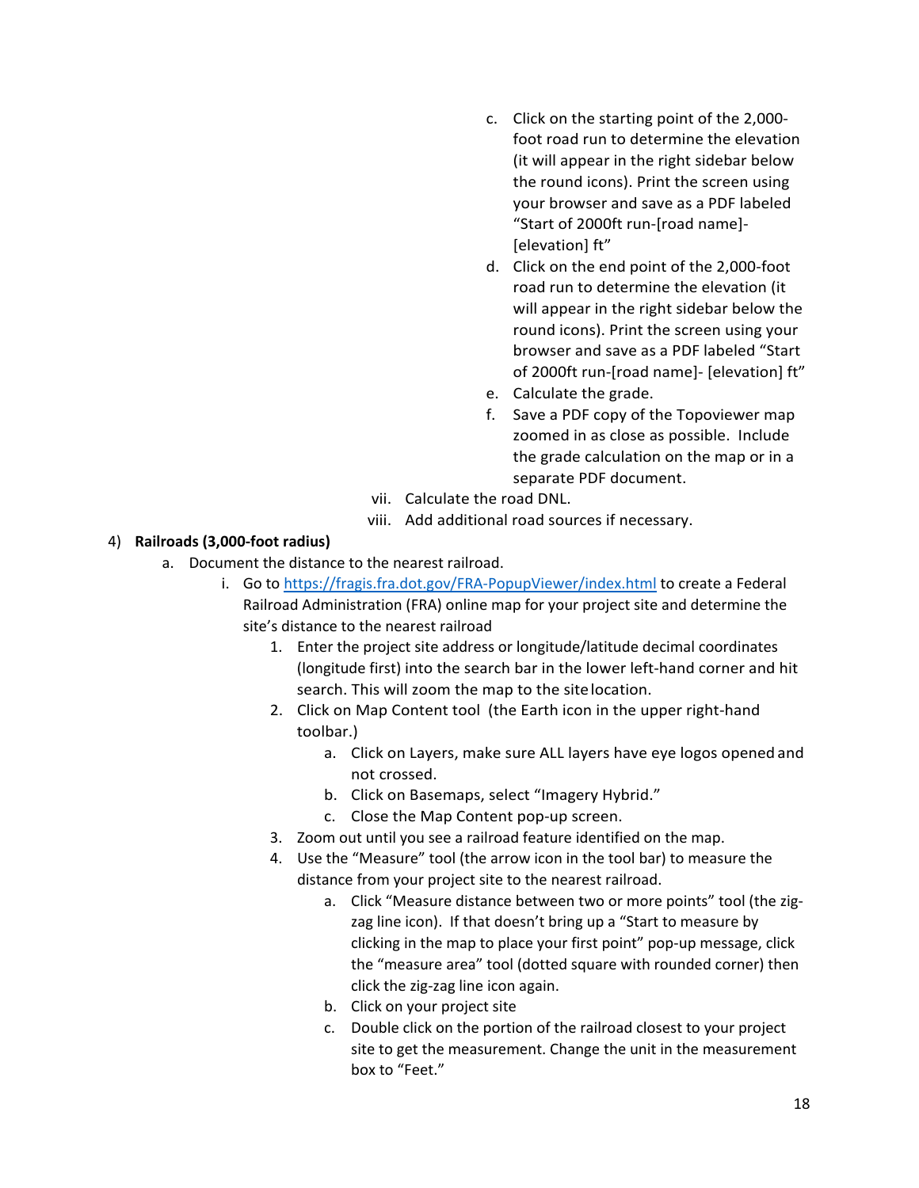- c. Click on the starting point of the 2,000 foot road run to determine the elevation (it will appear in the right sidebar below the round icons). Print the screen using your browser and save as a PDF labeled "Start of 2000ft run-[road name]- [elevation] ft"
- d. Click on the end point of the 2,000-foot road run to determine the elevation (it will appear in the right sidebar below the round icons). Print the screen using your browser and save as a PDF labeled "Start of 2000ft run-[road name]- [elevation] ft"
- e. Calculate the grade.
- f. Save a PDF copy of the Topoviewer map zoomed in as close as possible. Include the grade calculation on the map or in a separate PDF document.
- vii. Calculate the road DNL.
- viii. Add additional road sources if necessary.

#### 4) **Railroads (3,000-foot radius)**

- a. Document the distance to the nearest railroad.
	- i. Go to<https://fragis.fra.dot.gov/FRA-PopupViewer/index.html> to create a Federal Railroad Administration (FRA) online map for your project site and determine the site's distance to the nearest railroad
		- 1. Enter the project site address or longitude/latitude decimal coordinates (longitude first) into the search bar in the lower left-hand corner and hit search. This will zoom the map to the sitelocation.
		- 2. Click on Map Content tool (the Earth icon in the upper right-hand toolbar.)
			- a. Click on Layers, make sure ALL layers have eye logos opened and not crossed.
			- b. Click on Basemaps, select "Imagery Hybrid."
			- c. Close the Map Content pop-up screen.
		- 3. Zoom out until you see a railroad feature identified on the map.
		- 4. Use the "Measure" tool (the arrow icon in the tool bar) to measure the distance from your project site to the nearest railroad.
			- a. Click "Measure distance between two or more points" tool (the zigzag line icon). If that doesn't bring up a "Start to measure by clicking in the map to place your first point" pop-up message, click the "measure area" tool (dotted square with rounded corner) then click the zig-zag line icon again.
			- b. Click on your project site
			- c. Double click on the portion of the railroad closest to your project site to get the measurement. Change the unit in the measurement box to "Feet."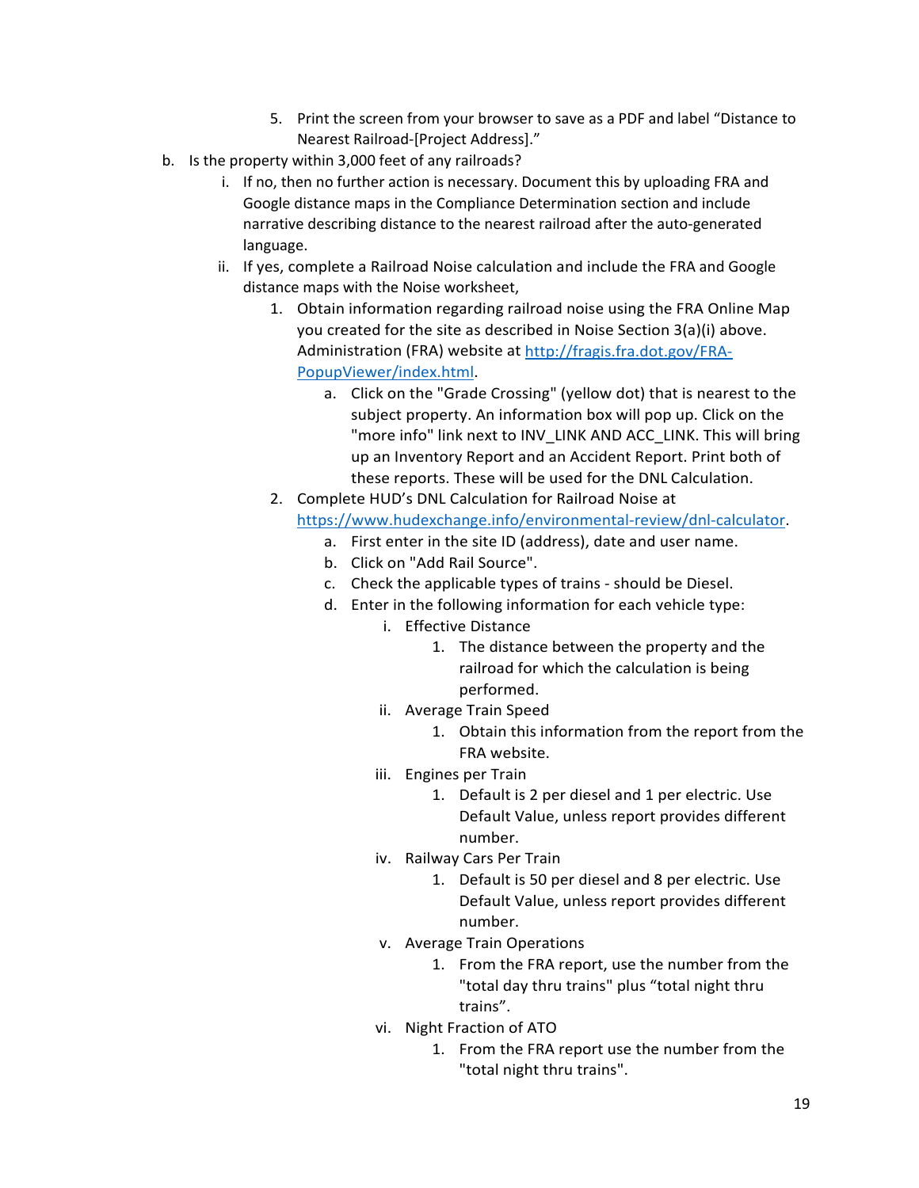- 5. Print the screen from your browser to save as a PDF and label "Distance to Nearest Railroad-[Project Address]."
- b. Is the property within 3,000 feet of any railroads?
	- i. If no, then no further action is necessary. Document this by uploading FRA and Google distance maps in the Compliance Determination section and include narrative describing distance to the nearest railroad after the auto-generated language.
	- ii. If yes, complete a Railroad Noise calculation and include the FRA and Google distance maps with the Noise worksheet,
		- 1. Obtain information regarding railroad noise using the FRA Online Map you created for the site as described in Noise Section 3(a)(i) above. Administration (FRA) website at [http://fragis.fra.dot.gov/FRA-](http://fragis.fra.dot.gov/FRA-PopupViewer/index.html)[PopupViewer/index.html.](http://fragis.fra.dot.gov/FRA-PopupViewer/index.html)
			- a. Click on the "Grade Crossing" (yellow dot) that is nearest to the subject property. An information box will pop up. Click on the "more info" link next to INV\_LINK AND ACC\_LINK. This will bring up an Inventory Report and an Accident Report. Print both of these reports. These will be used for the DNL Calculation.
		- 2. Complete HUD's DNL Calculation for Railroad Noise at [https://www.hudexchange.info/environmental-review/dnl-calculator.](https://www.hudexchange.info/environmental-review/dnl-calculator)
			- a. First enter in the site ID (address), date and user name.
			- b. Click on "Add Rail Source".
			- c. Check the applicable types of trains should be Diesel.
			- d. Enter in the following information for each vehicle type:
				- i. Effective Distance
					- 1. The distance between the property and the railroad for which the calculation is being performed.
				- ii. Average Train Speed
					- 1. Obtain this information from the report from the FRA website.
				- iii. Engines per Train
					- 1. Default is 2 per diesel and 1 per electric. Use Default Value, unless report provides different number.
				- iv. Railway Cars Per Train
					- 1. Default is 50 per diesel and 8 per electric. Use Default Value, unless report provides different number.
				- v. Average Train Operations
					- 1. From the FRA report, use the number from the "total day thru trains" plus "total night thru trains".
				- vi. Night Fraction of ATO
					- 1. From the FRA report use the number from the "total night thru trains".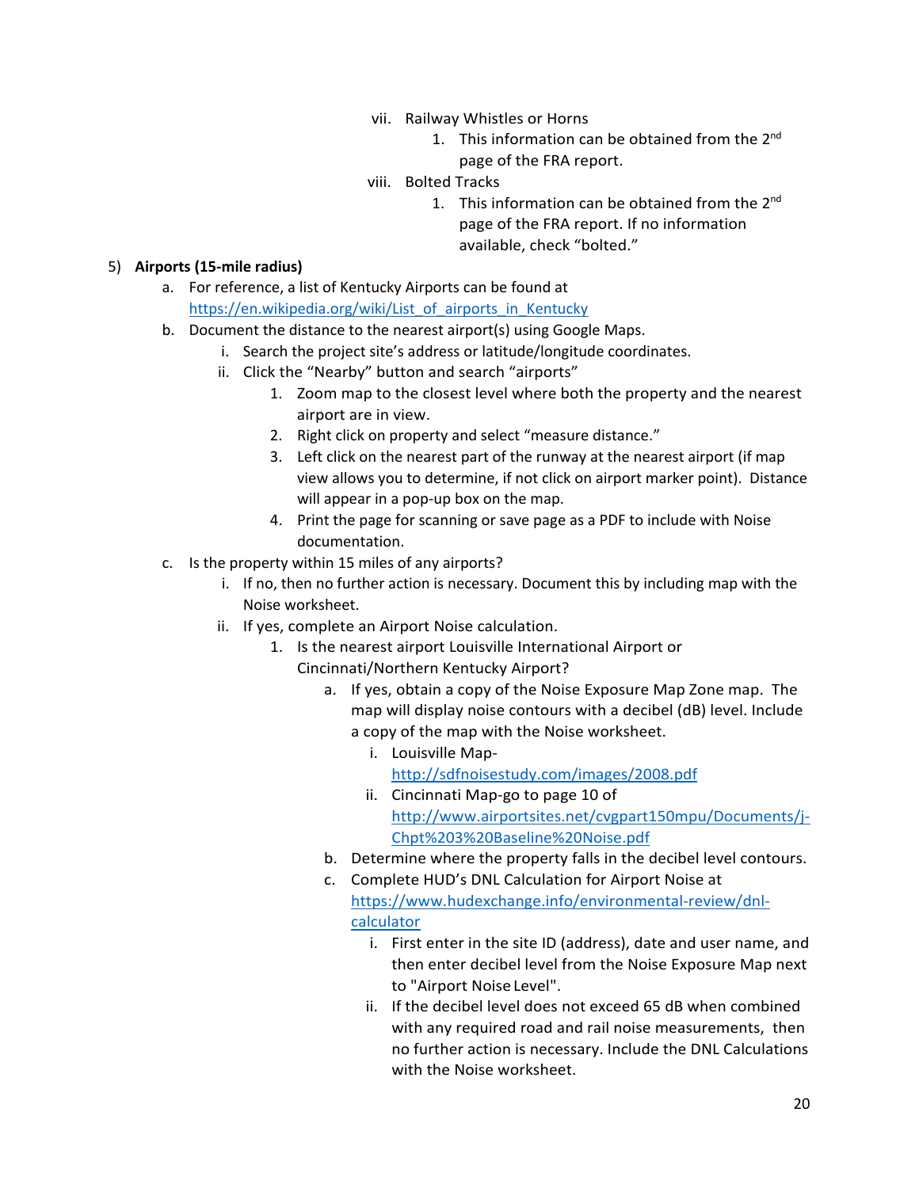- vii. Railway Whistles or Horns
	- 1. This information can be obtained from the 2<sup>nd</sup> page of the FRA report.
- viii. Bolted Tracks
	- 1. This information can be obtained from the 2<sup>nd</sup> page of the FRA report. If no information available, check "bolted."

#### 5) **Airports (15-mile radius)**

- a. For reference, a list of Kentucky Airports can be found at [https://en.wikipedia.org/wiki/List\\_of\\_airports\\_in\\_Kentucky](https://en.wikipedia.org/wiki/List_of_airports_in_Kentucky)
- b. Document the distance to the nearest airport(s) using Google Maps.
	- i. Search the project site's address or latitude/longitude coordinates.
	- ii. Click the "Nearby" button and search "airports"
		- 1. Zoom map to the closest level where both the property and the nearest airport are in view.
		- 2. Right click on property and select "measure distance."
		- 3. Left click on the nearest part of the runway at the nearest airport (if map view allows you to determine, if not click on airport marker point). Distance will appear in a pop-up box on the map.
		- 4. Print the page for scanning or save page as a PDF to include with Noise documentation.
- c. Is the property within 15 miles of any airports?
	- i. If no, then no further action is necessary. Document this by including map with the Noise worksheet.
	- ii. If yes, complete an Airport Noise calculation.
		- 1. Is the nearest airport Louisville International Airport or Cincinnati/Northern Kentucky Airport?
			- a. If yes, obtain a copy of the Noise Exposure Map Zone map. The map will display noise contours with a decibel (dB) level. Include a copy of the map with the Noise worksheet.
				- i. Louisville Map<http://sdfnoisestudy.com/images/2008.pdf>
				- ii. Cincinnati Map-go to page 10 of [http://www.airportsites.net/cvgpart150mpu/Documents/j-](http://www.airportsites.net/cvgpart150mpu/Documents/j-Chpt%203%20Baseline%20Noise.pdf)[Chpt%203%20Baseline%20Noise.pdf](http://www.airportsites.net/cvgpart150mpu/Documents/j-Chpt%203%20Baseline%20Noise.pdf)
			- b. Determine where the property falls in the decibel level contours.
			- c. Complete HUD's DNL Calculation for Airport Noise at [https://www.hudexchange.info/environmental-review/dnl](https://www.hudexchange.info/environmental-review/dnl-calculator)[calculator](https://www.hudexchange.info/environmental-review/dnl-calculator) 
				- i. First enter in the site ID (address), date and user name, and then enter decibel level from the Noise Exposure Map next to "Airport Noise Level".
				- ii. If the decibel level does not exceed 65 dB when combined with any required road and rail noise measurements, then no further action is necessary. Include the DNL Calculations with the Noise worksheet.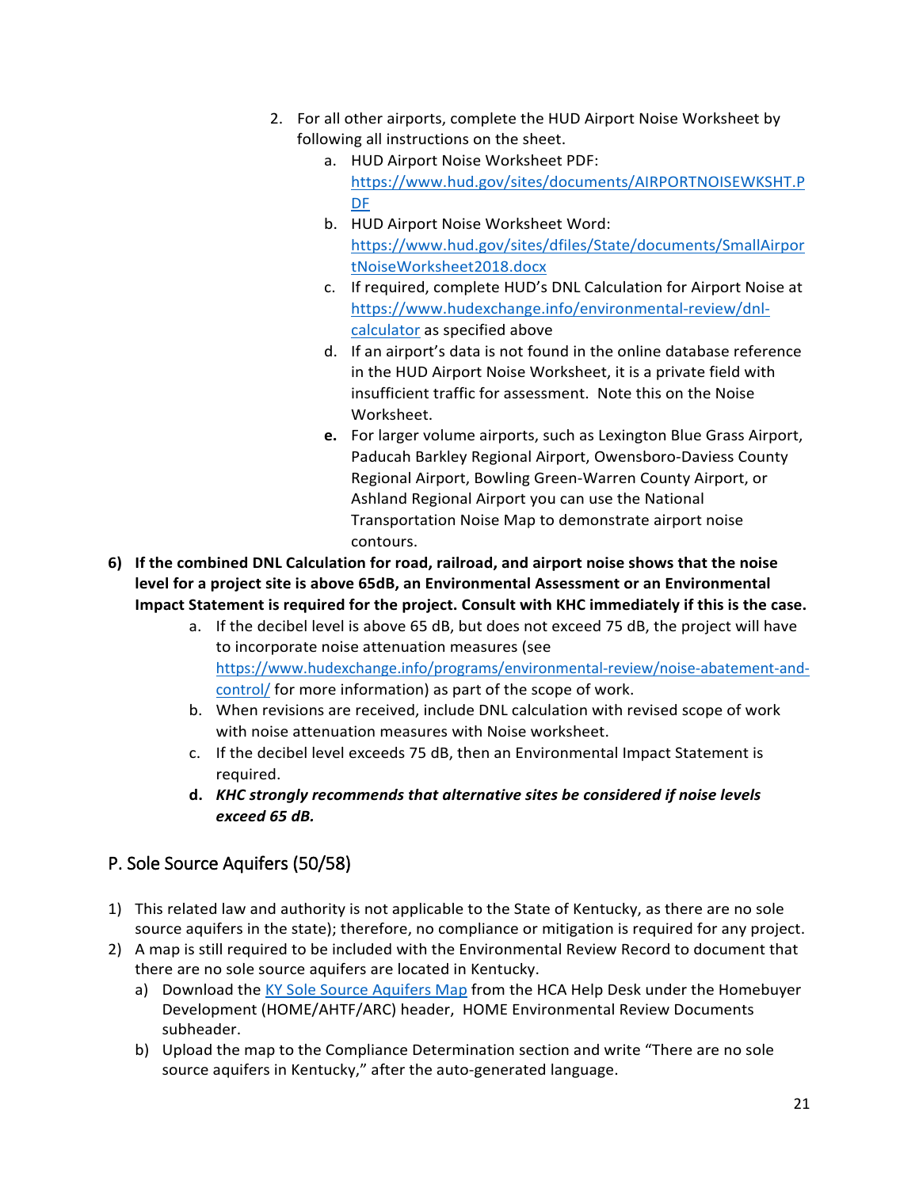- 2. For all other airports, complete the HUD Airport Noise Worksheet by following all instructions on the sheet.
	- a. HUD Airport Noise Worksheet PDF: [https://www.hud.gov/sites/documents/AIRPORTNOISEWKSHT.P](https://www.hud.gov/sites/documents/AIRPORTNOISEWKSHT.PDF) [DF](https://www.hud.gov/sites/documents/AIRPORTNOISEWKSHT.PDF)
	- b. HUD Airport Noise Worksheet Word: [https://www.hud.gov/sites/dfiles/State/documents/SmallAirpor](https://www.hud.gov/sites/dfiles/State/documents/SmallAirportNoiseWorksheet2018.docx) [tNoiseWorksheet2018.docx](https://www.hud.gov/sites/dfiles/State/documents/SmallAirportNoiseWorksheet2018.docx)
	- c. If required, complete HUD's DNL Calculation for Airport Noise at [https://www.hudexchange.info/environmental-review/dnl](https://www.hudexchange.info/environmental-review/dnl-calculator)[calculator](https://www.hudexchange.info/environmental-review/dnl-calculator) as specified above
	- d. If an airport's data is not found in the online database reference in the HUD Airport Noise Worksheet, it is a private field with insufficient traffic for assessment. Note this on the Noise Worksheet.
	- **e.** For larger volume airports, such as Lexington Blue Grass Airport, Paducah Barkley Regional Airport, Owensboro-Daviess County Regional Airport, Bowling Green-Warren County Airport, or Ashland Regional Airport you can use the National Transportation Noise Map to demonstrate airport noise contours.
- **6) If the combined DNL Calculation for road, railroad, and airport noise shows that the noise level for a project site is above 65dB, an Environmental Assessment or an Environmental Impact Statement is required for the project. Consult with KHC immediately if this is the case.**
	- a. If the decibel level is above 65 dB, but does not exceed 75 dB, the project will have to incorporate noise attenuation measures (see [https://www.hudexchange.info/programs/environmental-review/noise-abatement-and](https://www.hudexchange.info/programs/environmental-review/noise-abatement-and-control/)[control/](https://www.hudexchange.info/programs/environmental-review/noise-abatement-and-control/) for more information) as part of the scope of work.
	- b. When revisions are received, include DNL calculation with revised scope of work with noise attenuation measures with Noise worksheet.
	- c. If the decibel level exceeds 75 dB, then an Environmental Impact Statement is required.
	- **d.** *KHC strongly recommends that alternative sites be considered if noise levels exceed 65 dB.*

# <span id="page-20-0"></span>P. Sole Source Aquifers (50/58)

- 1) This related law and authority is not applicable to the State of Kentucky, as there are no sole source aquifers in the state); therefore, no compliance or mitigation is required for any project.
- 2) A map is still required to be included with the Environmental Review Record to document that there are no sole source aquifers are located in Kentucky.
	- a) Download th[e KY Sole Source Aquifers Map](https://kyhmis.zendesk.com/hc/en-us/article_attachments/4411445480603/KY_Sole_Source_Aquifers_Map.pdf) from the HCA Help Desk under the Homebuyer Development (HOME/AHTF/ARC) header, HOME Environmental Review Documents subheader.
	- b) Upload the map to the Compliance Determination section and write "There are no sole source aquifers in Kentucky," after the auto-generated language.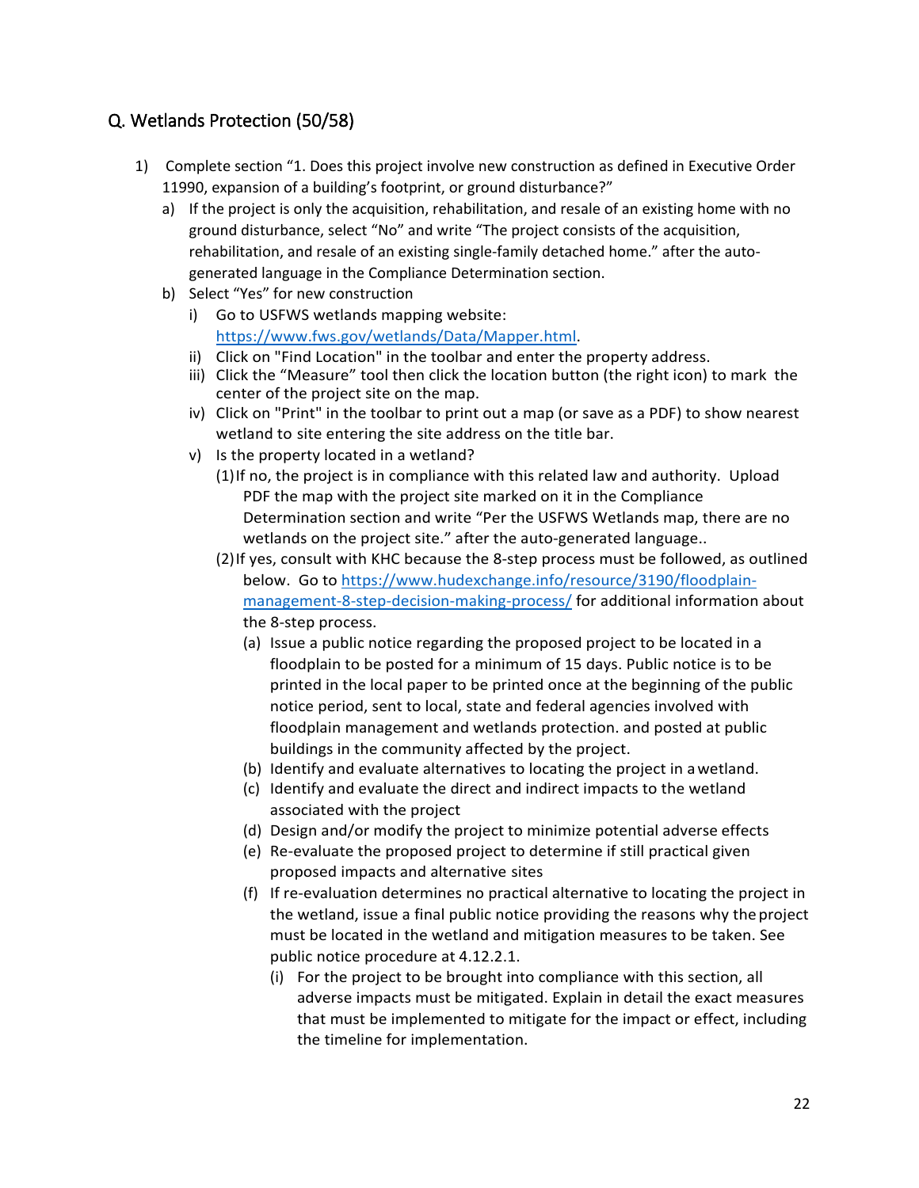### <span id="page-21-0"></span>Q. Wetlands Protection (50/58)

- 1) Complete section "1. Does this project involve new construction as defined in Executive Order 11990, expansion of a building's footprint, or ground disturbance?"
	- a) If the project is only the acquisition, rehabilitation, and resale of an existing home with no ground disturbance, select "No" and write "The project consists of the acquisition, rehabilitation, and resale of an existing single-family detached home." after the autogenerated language in the Compliance Determination section.
	- b) Select "Yes" for new construction
		- i) Go to USFWS wetlands mapping website: [https://www.fws.gov/wetlands/Data/Mapper.html.](https://www.fws.gov/wetlands/Data/Mapper.html)
		- ii) Click on "Find Location" in the toolbar and enter the property address.
		- iii) Click the "Measure" tool then click the location button (the right icon) to mark the center of the project site on the map.
		- iv) Click on "Print" in the toolbar to print out a map (or save as a PDF) to show nearest wetland to site entering the site address on the title bar.
		- v) Is the property located in a wetland?
			- (1)If no, the project is in compliance with this related law and authority. Upload PDF the map with the project site marked on it in the Compliance Determination section and write "Per the USFWS Wetlands map, there are no wetlands on the project site." after the auto-generated language..
			- (2)If yes, consult with KHC because the 8-step process must be followed, as outlined below. Go to [https://www.hudexchange.info/resource/3190/floodplain](https://www.hudexchange.info/resource/3190/floodplain-management-8-step-decision-making-process/)[management-8-step-decision-making-process/](https://www.hudexchange.info/resource/3190/floodplain-management-8-step-decision-making-process/) for additional information about the 8-step process.
				- (a) Issue a public notice regarding the proposed project to be located in a floodplain to be posted for a minimum of 15 days. Public notice is to be printed in the local paper to be printed once at the beginning of the public notice period, sent to local, state and federal agencies involved with floodplain management and wetlands protection. and posted at public buildings in the community affected by the project.
				- (b) Identify and evaluate alternatives to locating the project in awetland.
				- (c) Identify and evaluate the direct and indirect impacts to the wetland associated with the project
				- (d) Design and/or modify the project to minimize potential adverse effects
				- (e) Re-evaluate the proposed project to determine if still practical given proposed impacts and alternative sites
				- (f) If re-evaluation determines no practical alternative to locating the project in the wetland, issue a final public notice providing the reasons why the project must be located in the wetland and mitigation measures to be taken. See public notice procedure at 4.12.2.1.
					- (i) For the project to be brought into compliance with this section, all adverse impacts must be mitigated. Explain in detail the exact measures that must be implemented to mitigate for the impact or effect, including the timeline for implementation.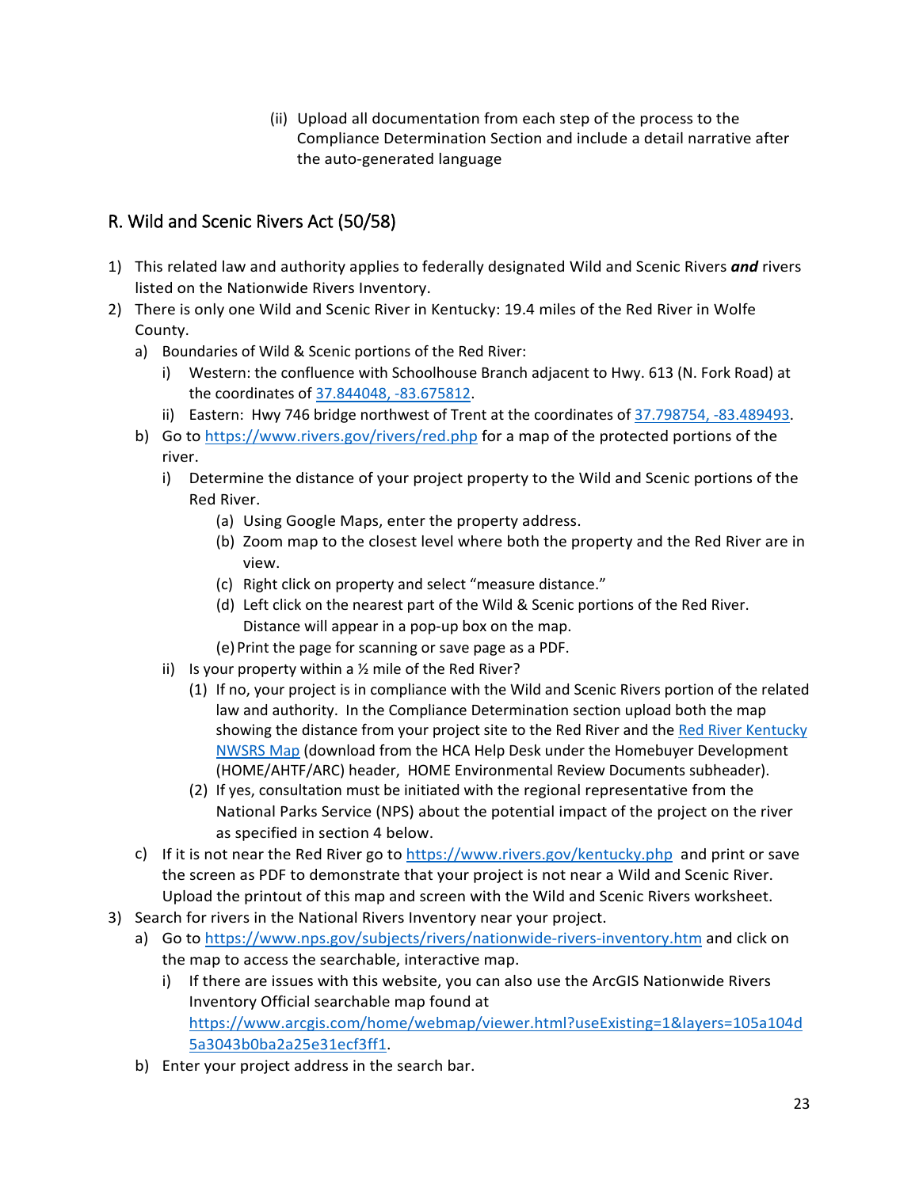(ii) Upload all documentation from each step of the process to the Compliance Determination Section and include a detail narrative after the auto-generated language

# <span id="page-22-0"></span>R. Wild and Scenic Rivers Act (50/58)

- 1) This related law and authority applies to federally designated Wild and Scenic Rivers *and* rivers listed on the Nationwide Rivers Inventory.
- 2) There is only one Wild and Scenic River in Kentucky: 19.4 miles of the Red River in Wolfe County.
	- a) Boundaries of Wild & Scenic portions of the Red River:
		- i) Western: the confluence with Schoolhouse Branch adjacent to Hwy. 613 (N. Fork Road) at the coordinates of [37.844048, -83.675812.](https://www.google.com/maps/place/37%C2%B050)
		- ii) Eastern: Hwy 746 bridge northwest of Trent at the coordinates of [37.798754, -83.489493.](https://www.google.com/maps/place/37%C2%B047)
	- b) Go to<https://www.rivers.gov/rivers/red.php> for a map of the protected portions of the river.
		- i) Determine the distance of your project property to the Wild and Scenic portions of the Red River.
			- (a) Using Google Maps, enter the property address.
			- (b) Zoom map to the closest level where both the property and the Red River are in view.
			- (c) Right click on property and select "measure distance."
			- (d) Left click on the nearest part of the Wild & Scenic portions of the Red River. Distance will appear in a pop-up box on the map.
			- (e)Print the page for scanning or save page as a PDF.
		- ii) Is your property within a  $\frac{1}{2}$  mile of the Red River?
			- (1) If no, your project is in compliance with the Wild and Scenic Rivers portion of the related law and authority. In the Compliance Determination section upload both the map showing the distance from your project site to the Red River and the Red River Kentucky [NWSRS Map](https://kyhmis.zendesk.com/hc/en-us/article_attachments/4411437304347/Red_River_Kentucky_NWSRS_Map.pdf) (download from the HCA Help Desk under the Homebuyer Development (HOME/AHTF/ARC) header, HOME Environmental Review Documents subheader).
			- (2) If yes, consultation must be initiated with the regional representative from the National Parks Service (NPS) about the potential impact of the project on the river as specified in section 4 below.
	- c) If it is not near the Red River go to  $\frac{https://www.rivers.gov/kentucky.php}{https://www.rivers.gov/kentucky.php}$  and print or save the screen as PDF to demonstrate that your project is not near a Wild and Scenic River. Upload the printout of this map and screen with the Wild and Scenic Rivers worksheet.
- 3) Search for rivers in the National Rivers Inventory near your project.
	- a) Go to<https://www.nps.gov/subjects/rivers/nationwide-rivers-inventory.htm> and click on the map to access the searchable, interactive map.
		- i) If there are issues with this website, you can also use the ArcGIS Nationwide Rivers Inventory Official searchable map found at [https://www.arcgis.com/home/webmap/viewer.html?useExisting=1&layers=105a104d](https://www.arcgis.com/home/webmap/viewer.html?useExisting=1&layers=105a104d5a3043b0ba2a25e31ecf3ff1) [5a3043b0ba2a25e31ecf3ff1.](https://www.arcgis.com/home/webmap/viewer.html?useExisting=1&layers=105a104d5a3043b0ba2a25e31ecf3ff1)
	- b) Enter your project address in the search bar.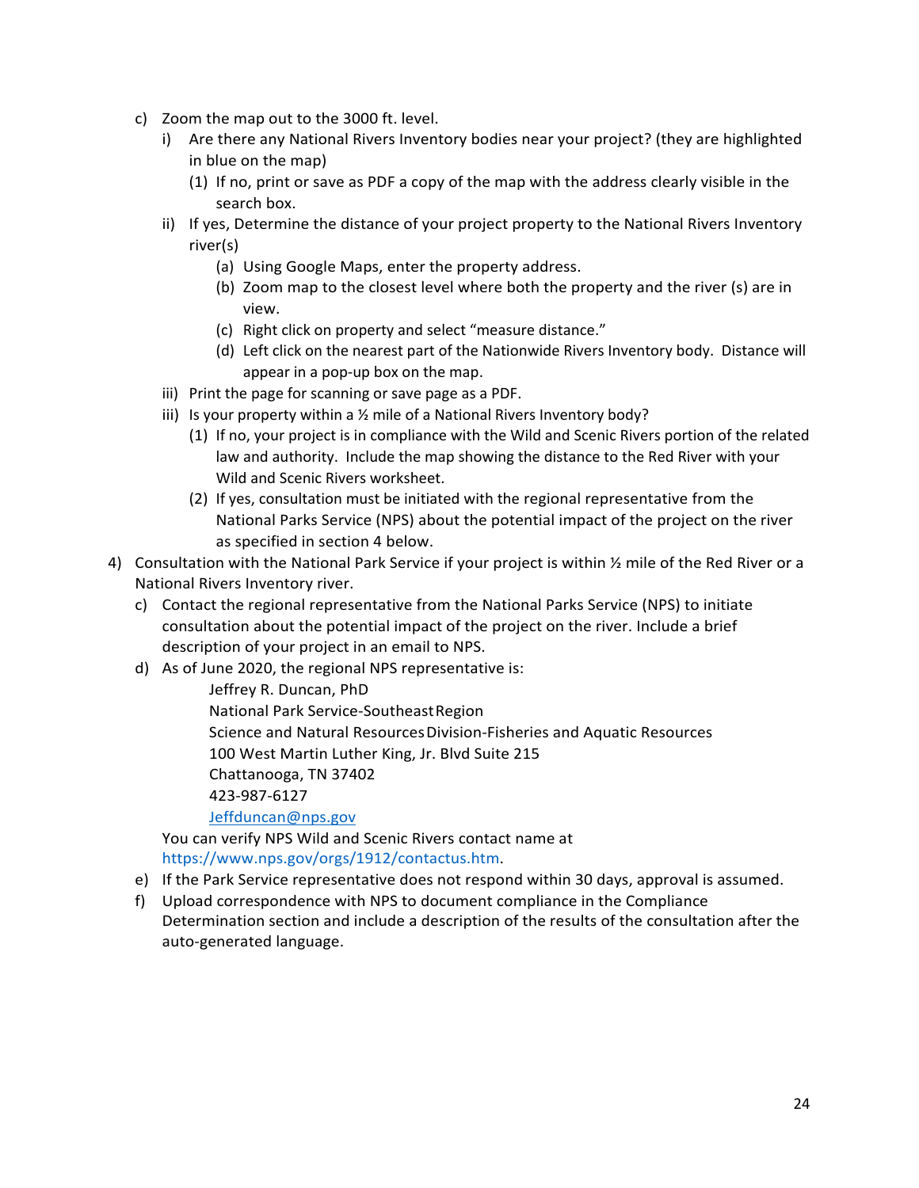- c) Zoom the map out to the 3000 ft. level.
	- i) Are there any National Rivers Inventory bodies near your project? (they are highlighted in blue on the map)
		- (1) If no, print or save as PDF a copy of the map with the address clearly visible in the search box.
	- ii) If yes, Determine the distance of your project property to the National Rivers Inventory river(s)
		- (a) Using Google Maps, enter the property address.
		- (b) Zoom map to the closest level where both the property and the river (s) are in view.
		- (c) Right click on property and select "measure distance."
		- (d) Left click on the nearest part of the Nationwide Rivers Inventory body. Distance will appear in a pop-up box on the map.
	- iii) Print the page for scanning or save page as a PDF.
	- iii) Is your property within a  $\frac{1}{2}$  mile of a National Rivers Inventory body?
		- (1) If no, your project is in compliance with the Wild and Scenic Rivers portion of the related law and authority. Include the map showing the distance to the Red River with your Wild and Scenic Rivers worksheet.
		- (2) If yes, consultation must be initiated with the regional representative from the National Parks Service (NPS) about the potential impact of the project on the river as specified in section 4 below.
- 4) Consultation with the National Park Service if your project is within ½ mile of the Red River or a National Rivers Inventory river.
	- c) Contact the regional representative from the National Parks Service (NPS) to initiate consultation about the potential impact of the project on the river. Include a brief description of your project in an email to NPS.
	- d) As of June 2020, the regional NPS representative is:

Jeffrey R. Duncan, PhD National Park Service-SoutheastRegion Science and Natural ResourcesDivision-Fisheries and Aquatic Resources 100 West Martin Luther King, Jr. Blvd Suite 215 Chattanooga, TN 37402 423-987-6127 [Jeffduncan@nps.gov](mailto:Jeffduncan@nps.gov)

You can verify NPS Wild and Scenic Rivers contact name at [https://www.nps.gov/orgs/1912/contactus.htm.](https://www.nps.gov/orgs/1912/contactus.htm)

- e) If the Park Service representative does not respond within 30 days, approval is assumed.
- f) Upload correspondence with NPS to document compliance in the Compliance Determination section and include a description of the results of the consultation after the auto-generated language.